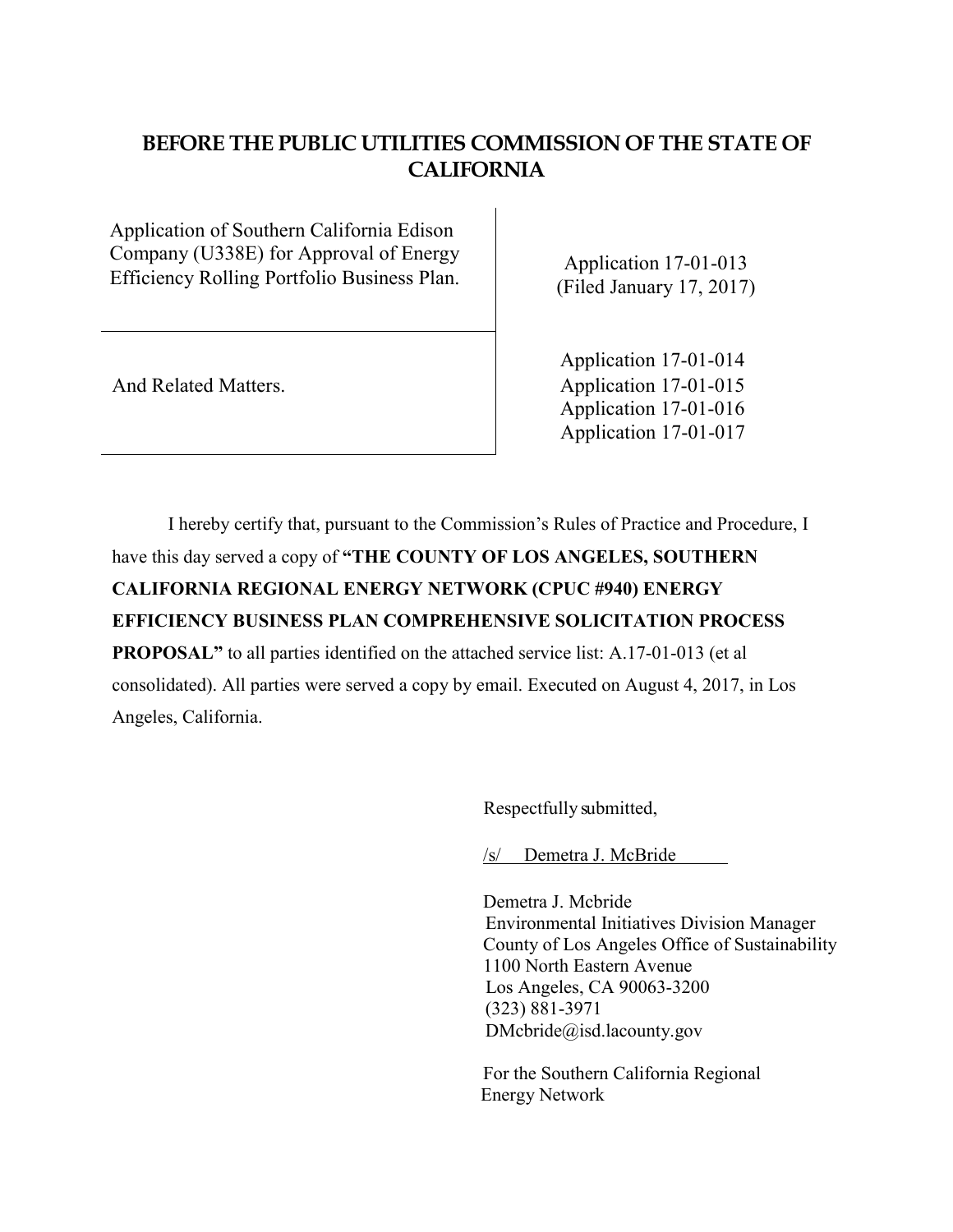# **BEFORE THE PUBLIC UTILITIES COMMISSION OF THE STATE OF CALIFORNIA**

Application of Southern California Edison Company (U338E) for Approval of Energy Efficiency Rolling Portfolio Business Plan. Application 17-01-013

(Filed January 17, 2017)

 Application 17-01-014 And Related Matters. Application 17-01-015 Application 17-01-016 Application 17-01-017

I hereby certify that, pursuant to the Commission's Rules of Practice and Procedure, I have this day served a copy of **"THE COUNTY OF LOS ANGELES, SOUTHERN CALIFORNIA REGIONAL ENERGY NETWORK (CPUC #940) ENERGY EFFICIENCY BUSINESS PLAN COMPREHENSIVE SOLICITATION PROCESS PROPOSAL"** to all parties identified on the attached service list: A.17-01-013 (et al consolidated). All parties were served a copy by email. Executed on August 4, 2017, in Los Angeles, California.

Respectfully submitted,

/s/ Demetra J. McBride

Demetra J. Mcbride Environmental Initiatives Division Manager County of Los Angeles Office of Sustainability 1100 North Eastern Avenue Los Angeles, CA 90063-3200 (323) 881-3971 DMcbride@isd.lacounty.gov

For the Southern California Regional Energy Network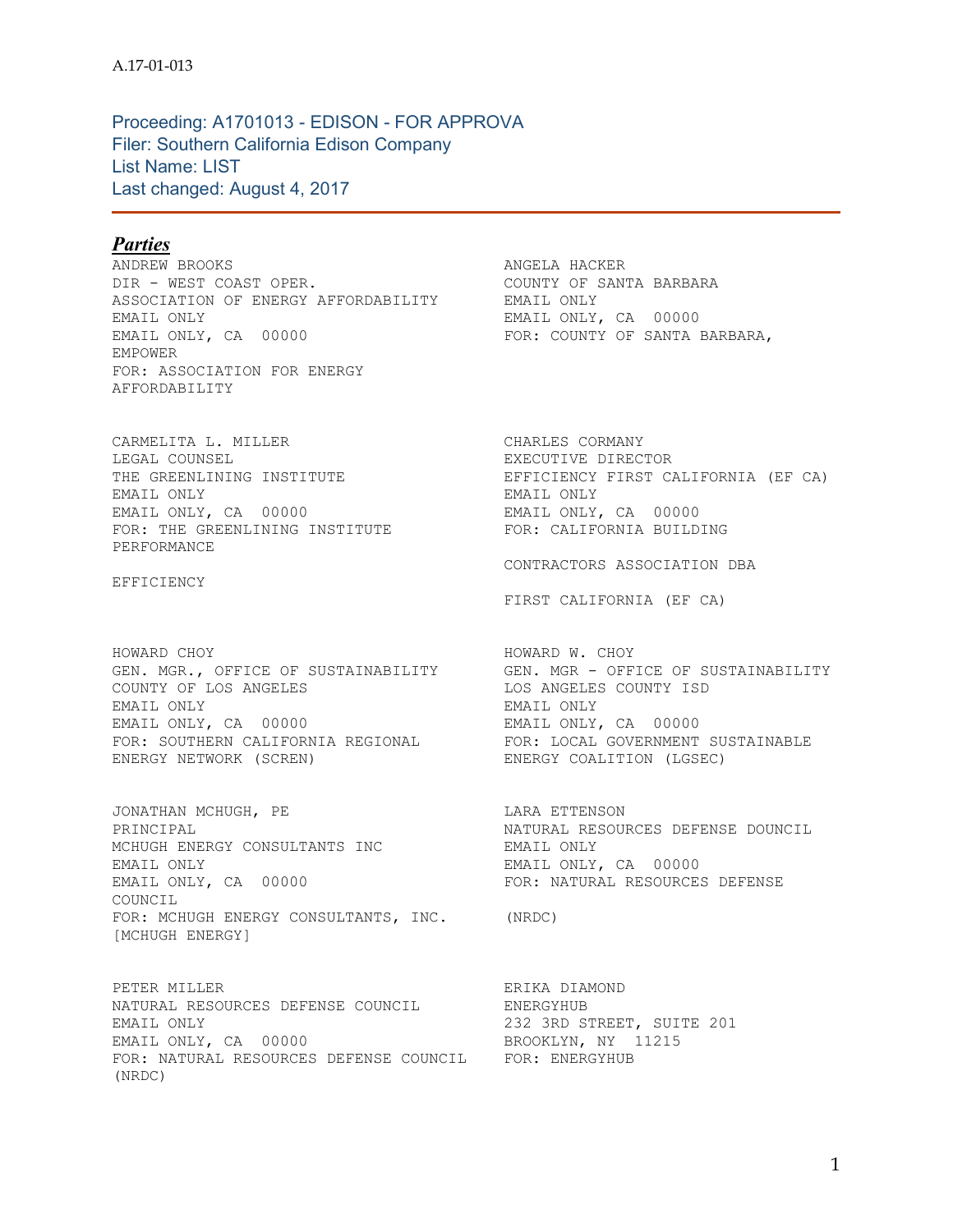Proceeding: A1701013 - EDISON - FOR APPROVA Filer: Southern California Edison Company List Name: LIST Last changed: August 4, 2017

# *Parties*

ANDREW BROOKS **ANGELA HACKER** DIR - WEST COAST OPER. THE COUNTY OF SANTA BARBARA ASSOCIATION OF ENERGY AFFORDABILITY EMAIL ONLY EMAIL ONLY EMAIL ONLY, CA 00000 EMAIL ONLY, CA 00000 **FOR: COUNTY OF SANTA BARBARA**, EMPOWER FOR: ASSOCIATION FOR ENERGY AFFORDABILITY

CARMELITA L. MILLER CARMELITA L. CHARLES CORMANY LEGAL COUNSEL **EXECUTIVE DIRECTOR** THE GREENLINING INSTITUTE<br>
EMAIL ONLY<br>
EMAIL ONLY, CA 00000 0000 00000 EMAIL ONLY, CA 00000 EMAIL ONLY, CA 00000<br>
FOR: THE GREENLINING INSTITUTE FOR: CALIFORNIA BUILDING FOR: THE GREENLINING INSTITUTE PERFORMANCE

EFFICIENCY

HOWARD CHOY HOWARD W. CHOY COUNTY OF LOS ANGELES LOS ANGELES COUNTY ISD EMAIL ONLY EMAIL ONLY EMAIL ONLY, CA 00000 EMAIL ONLY, CA 00000 FOR: SOUTHERN CALIFORNIA REGIONAL FOR: LOCAL GOVERNMENT SUSTAINABLE ENERGY NETWORK (SCREN) ENERGY COALITION (LGSEC)

JONATHAN MCHUGH, PE LARA ETTENSON PRINCIPAL NATURAL RESOURCES DEFENSE DOUNCIL MCHUGH ENERGY CONSULTANTS INC<br>
EMAIL ONLY EMAIL ONLY EMAIL ONLY EMAIL ONLY CA 00000 EMAIL ONLY, CA 00000 EMAIL ONLY, CA 00000 EMAIL ONLY, CA 00000 COUNCIL FOR: MCHUGH ENERGY CONSULTANTS, INC. (NRDC) [MCHUGH ENERGY]

PETER MILLER **ERIKA DIAMOND** NATURAL RESOURCES DEFENSE COUNCIL NATURAL RESOURCES DEFENSE COUNCIL ENERGYHUB<br>EMAIL ONLY 201 EMAIL ONLY, CA 00000 BROOKLYN, NY 11215 FOR: NATURAL RESOURCES DEFENSE COUNCIL FOR: ENERGYHUB (NRDC)

THE GREENLINING INSTITUTE EFFICIENCY FIRST CALIFORNIA (EF CA)

CONTRACTORS ASSOCIATION DBA

FIRST CALIFORNIA (EF CA)

GEN. MGR., OFFICE OF SUSTAINABILITY GEN. MGR - OFFICE OF SUSTAINABILITY

FOR: NATURAL RESOURCES DEFENSE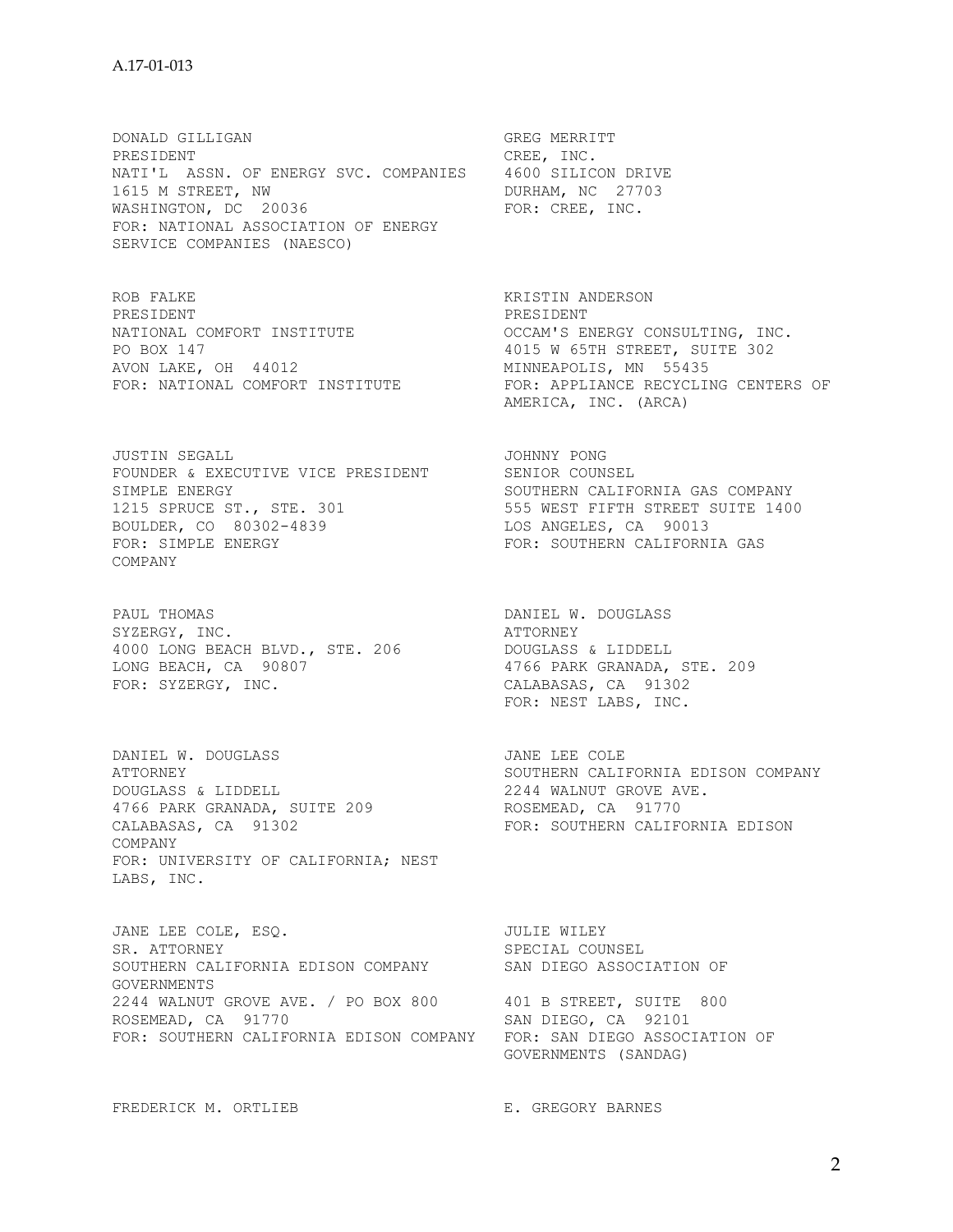DONALD GILLIGAN GREG MERRITT PRESIDENT CREE, INC. NATI'L ASSN. OF ENERGY SVC. COMPANIES 4600 SILICON DRIVE<br>1615 M STREET, NW BURHAM, NC 27703 1615 M STREET, NW DURHAM, NC 27703 WASHINGTON, DC 20036 FOR: CREE, INC. FOR: NATIONAL ASSOCIATION OF ENERGY SERVICE COMPANIES (NAESCO)

ROB FALKE KRISTIN ANDERSON PRESIDENT PRESIDENT PO BOX 147 **1015 W 65TH STREET, SUITE 302** AVON LAKE, OH 44012 MINNEAPOLIS, MN 55435

JUSTIN SEGALL JOHNNY PONG FOUNDER & EXECUTIVE VICE PRESIDENT SENIOR COUNSEL<br>SIMPLE ENERGY SENIOR SOUTHERN CALIFORNIA GAS COMPANY SIMPLE ENERGY **SOUTHERN CALIFORNIA GAS COMPANY** 1215 SPRUCE ST., STE. 301 555 WEST FIFTH STREET SUITE 1400 BOULDER, CO 80302-4839 LOS ANGELES, CA 90013 FOR: SIMPLE ENERGY FOR: SOUTHERN CALIFORNIA GAS COMPANY

PAUL THOMAS DANIEL W. DOUGLASS SYZERGY, INC. ATTORNEY 4000 LONG BEACH BLVD., STE. 206 DOUGLASS & LIDDELL LONG BEACH, CA 90807 4766 PARK GRANADA, STE. 209 FOR: SYZERGY, INC. CALABASAS, CA 91302

DANIEL W. DOUGLASS **SECURE 12 SECURE 12 SECURE 12** JANE LEE COLE ATTORNEY SOUTHERN CALIFORNIA EDISON COMPANY DOUGLASS & LIDDELL 2244 WALNUT GROVE AVE. 4766 PARK GRANADA, SUITE 209 ROSEMEAD, CA 91770 CALABASAS, CA 91302 **FOR: SOUTHERN CALIFORNIA EDISON** COMPANY FOR: UNIVERSITY OF CALIFORNIA; NEST LABS, INC.

JANE LEE COLE, ESO. **JULIE WILEY** SR. ATTORNEY SPECIAL COUNSEL SOUTHERN CALIFORNIA EDISON COMPANY SAN DIEGO ASSOCIATION OF SOUTHERN CALIFORNIA EDISON COMPANY GOVERNMENTS 2244 WALNUT GROVE AVE. / PO BOX 800 401 B STREET, SUITE 800 ROSEMEAD, CA 91770 SAN DIEGO, CA 92101 FOR: SOUTHERN CALIFORNIA EDISON COMPANY FOR: SAN DIEGO ASSOCIATION OF

FREDERICK M. ORTLIEB E. GREGORY BARNES

NATIONAL COMFORT INSTITUTE **EXELGY OCCAM'S ENERGY CONSULTING, INC.** FOR: NATIONAL COMFORT INSTITUTE FOR: APPLIANCE RECYCLING CENTERS OF AMERICA, INC. (ARCA)

FOR: NEST LABS, INC.

GOVERNMENTS (SANDAG)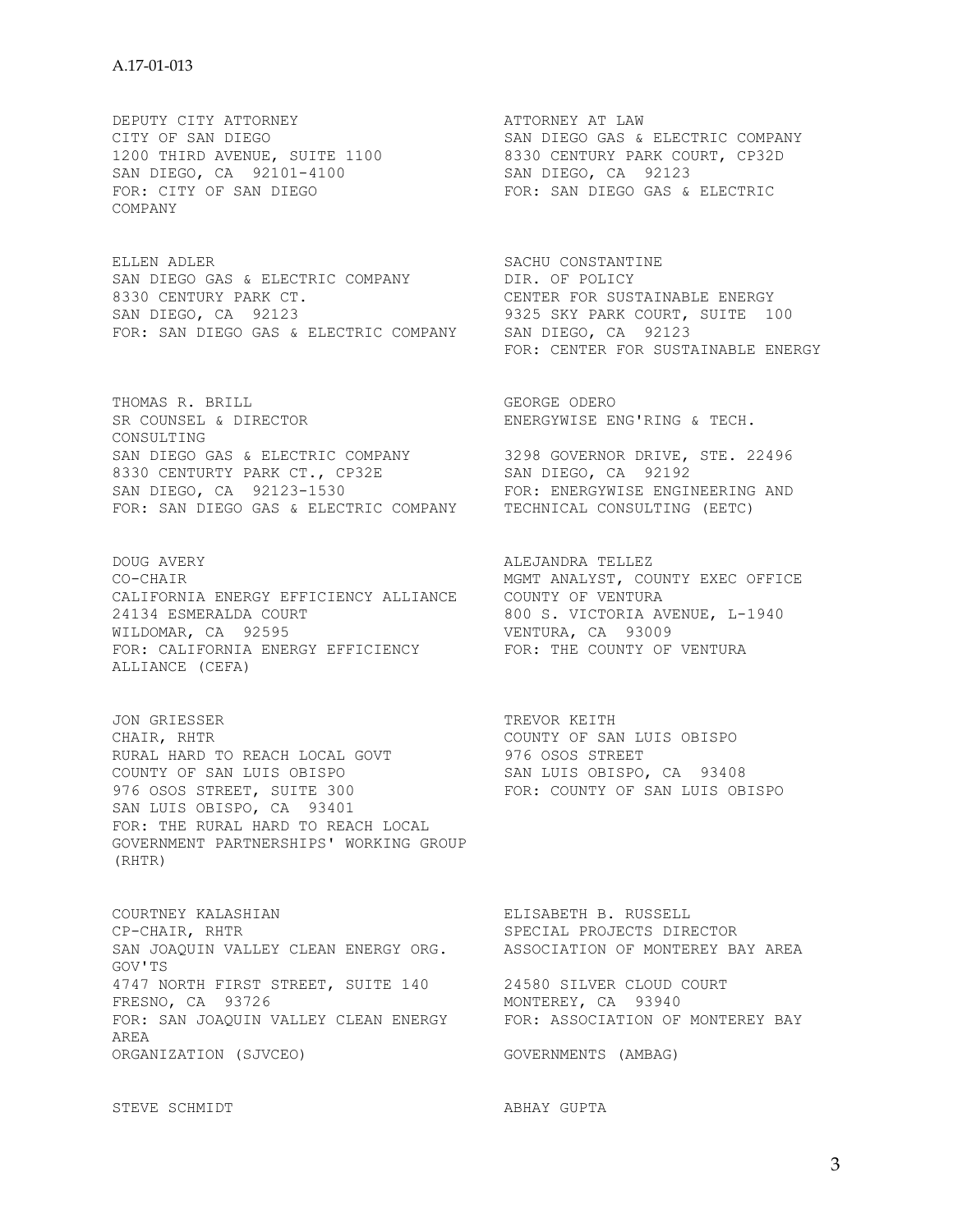SAN DIEGO, CA 92101-4100 SAN DIEGO, CA 92123 FOR: CITY OF SAN DIEGO FOR: SAN DIEGO GAS & ELECTRIC COMPANY

ELLEN ADLER SACHU CONSTANTINE SAN DIEGO GAS & ELECTRIC COMPANY DIR. OF POLICY<br>8330 CENTURY PARK CT. CENTER FOR SUSTAINABLE ENERGY 8330 CENTURY PARK CT.<br>SAN DIEGO, CA 92123 SAN DIEGO, CA 92123 9325 SKY PARK COURT, SUITE 100 FOR: SAN DIEGO GAS & ELECTRIC COMPANY SAN DIEGO, CA 92123

THOMAS R. BRILL<br>SR COUNSEL & DIRECTOR THE SERVICE ENERGYWISE ENG'RING & TECH. SR COUNSEL & DIRECTOR CONSULTING SAN DIEGO GAS & ELECTRIC COMPANY 3298 GOVERNOR DRIVE, STE. 22496 8330 CENTURTY PARK CT., CP32E SAN DIEGO, CA 92192 8330 CENTURTY PARK CT., CP32E SAN DIEGO, CA 92192<br>SAN DIEGO, CA 92123-1530 FOR: ENERGYWISE ENGINEERING AND FOR: SAN DIEGO GAS & ELECTRIC COMPANY TECHNICAL CONSULTING (EETC)

DOUG AVERY ALEJANDRA TELLEZ CO-CHAIR MGMT ANALYST, COUNTY EXEC OFFICE CALIFORNIA ENERGY EFFICIENCY ALLIANCE COUNTY OF VENTURA 24134 ESMERALDA COURT 800 S. VICTORIA AVENUE, L-1940 WILDOMAR, CA 92595 VENTURA, CA 93009 FOR: CALIFORNIA ENERGY EFFICIENCY FOR: THE COUNTY OF VENTURA ALLIANCE (CEFA)

JON GRIESSER<br>
CHAIR, RHTR
CHAIR, RHTR
CHAIR, COUNTY OF SAN LUIS OBISPO CHAIR, RHTR COUNTY OF SAN LUIS OBISPO RURAL HARD TO REACH LOCAL GOVT 976 OSOS STREET COUNTY OF SAN LUIS OBISPO SAN LUIS OBISPO, CA 93408 976 OSOS STREET, SUITE 300 FOR: COUNTY OF SAN LUIS OBISPO SAN LUIS OBISPO, CA 93401 FOR: THE RURAL HARD TO REACH LOCAL GOVERNMENT PARTNERSHIPS' WORKING GROUP (RHTR)

COURTNEY KALASHIAN ELISABETH B. RUSSELL CP-CHAIR, RHTR SPECIAL PROJECTS DIRECTOR SAN JOAQUIN VALLEY CLEAN ENERGY ORG. ASSOCIATION OF MONTEREY BAY AREA GOV'TS 4747 NORTH FIRST STREET, SUITE 140 24580 SILVER CLOUD COURT FRESNO, CA 93726<br>FOR: SAN JOAQUIN VALLEY CLEAN ENERGY FOR: ASSOCIATION OF MONTEREY BAY FOR: SAN JOAQUIN VALLEY CLEAN ENERGY AREA ORGANIZATION (SJVCEO) GOVERNMENTS (AMBAG)

DEPUTY CITY ATTORNEY<br>
CITY OF SAN DIEGO<br>
CITY OF SAN DIEGO<br>

CITY OF SAN DIEGO CITY OF SAN DIEGO SAN DIEGO GAS & ELECTRIC COMPANY 1200 THIRD AVENUE, SUITE 1100 8330 CENTURY PARK COURT, CP32D

FOR: CENTER FOR SUSTAINABLE ENERGY

STEVE SCHMIDT ABHAY GUPTA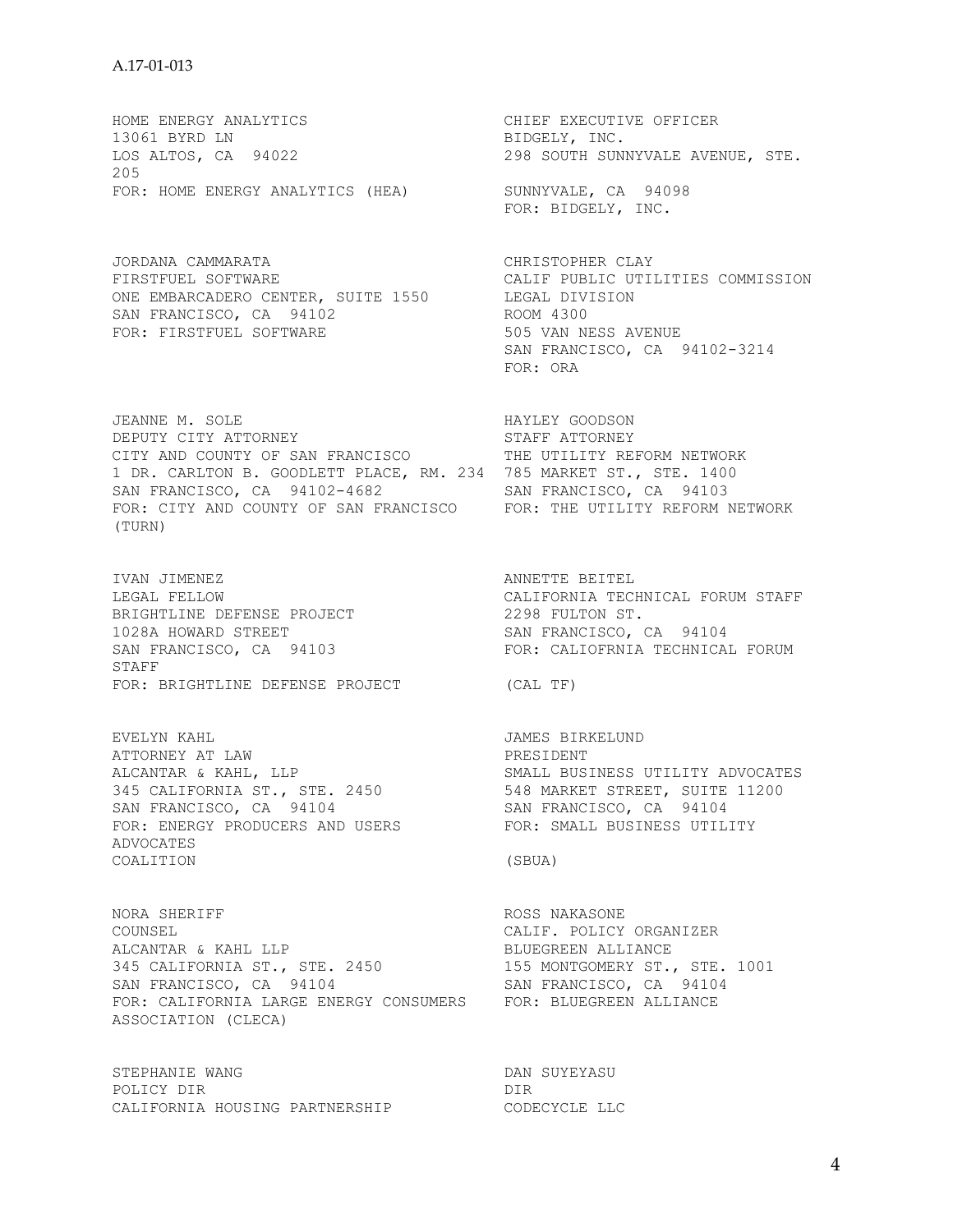HOME ENERGY ANALYTICS<br>13061 BYRD LN 13061 BYRD LN 13061 BYRD LN LOS ALTOS, CA 94022 298 SOUTH SUNNYVALE AVENUE, STE. 205 FOR: HOME ENERGY ANALYTICS (HEA) SUNNYVALE, CA 94098

JORDANA CAMMARATA CHRISTOPHER CLAY FIRSTFUEL SOFTWARE CALIF PUBLIC UTILITIES COMMISSION ONE EMBARCADERO CENTER, SUITE 1550 LEGAL DIVISION<br>SAN FRANCISCO, CA 94102 ROOM 4300 SAN FRANCISCO, CA 94102<br>
FOR: FIRSTFUEL SOFTWARE
FOR: FIRSTFUEL SOFTWARE
SOS VAN NESS AVENUE FOR: FIRSTFUEL SOFTWARE

JEANNE M. SOLE HAYLEY GOODSON DEPUTY CITY ATTORNEY **STAFF ATTORNEY** CITY AND COUNTY OF SAN FRANCISCO THE UTILITY REFORM NETWORK 1 DR. CARLTON B. GOODLETT PLACE, RM. 234 785 MARKET ST., STE. 1400 SAN FRANCISCO, CA 94102-4682 SAN FRANCISCO, CA 94103 FOR: CITY AND COUNTY OF SAN FRANCISCO FOR: THE UTILITY REFORM NETWORK (TURN)

IVAN JIMENEZ ANNETTE BEITEL BRIGHTLINE DEFENSE PROJECT<br>BRIGHTLINE DEFENSE PROJECT SAN FRANCISCO, CA<sup>1</sup>94103 STAFF FOR: BRIGHTLINE DEFENSE PROJECT (CAL TF)

EVELYN KAHL JAMES BIRKELUND ATTORNEY AT LAW PRESIDENT SAN FRANCISCO, CA 94104 SAN FRANCISCO, CA 94104 FOR: ENERGY PRODUCERS AND USERS FOR: SMALL BUSINESS UTILITY ADVOCATES COALITION (SBUA)

NORA SHERIFF **ROSS NAKASONE** COUNSEL COUNSEL CALIF. POLICY ORGANIZER ALCANTAR & KAHL LLP CALIFE BLUEGREEN ALLIANCE ALCANTAR & KAHL LLP BLUEGREEN ALLIANCE 345 CALIFORNIA ST., STE. 2450 155 MONTGOMERY ST., STE. 1001 SAN FRANCISCO, CA 94104 SAN FRANCISCO, CA 94104 FOR: CALIFORNIA LARGE ENERGY CONSUMERS FOR: BLUEGREEN ALLIANCE ASSOCIATION (CLECA)

STEPHANIE WANG DAN SUYEYASU POLICY DIR DIR DIR CALIFORNIA HOUSING PARTNERSHIP CODECYCLE LLC

FOR: BIDGELY, INC.

 SAN FRANCISCO, CA 94102-3214 FOR: ORA

LEGAL FELLOW CALIFORNIA TECHNICAL FORUM STAFF BRIGHTLINE DEFENSE PROJECT<br>1028A HOWARD STREET<br>SAN FRANCISCO, CA 94103 (SAN FRANCISCO, CA 94104

ALCANTAR & KAHL, LLP SMALL BUSINESS UTILITY ADVOCATES 345 CALIFORNIA ST., STE. 2450 548 MARKET STREET, SUITE 11200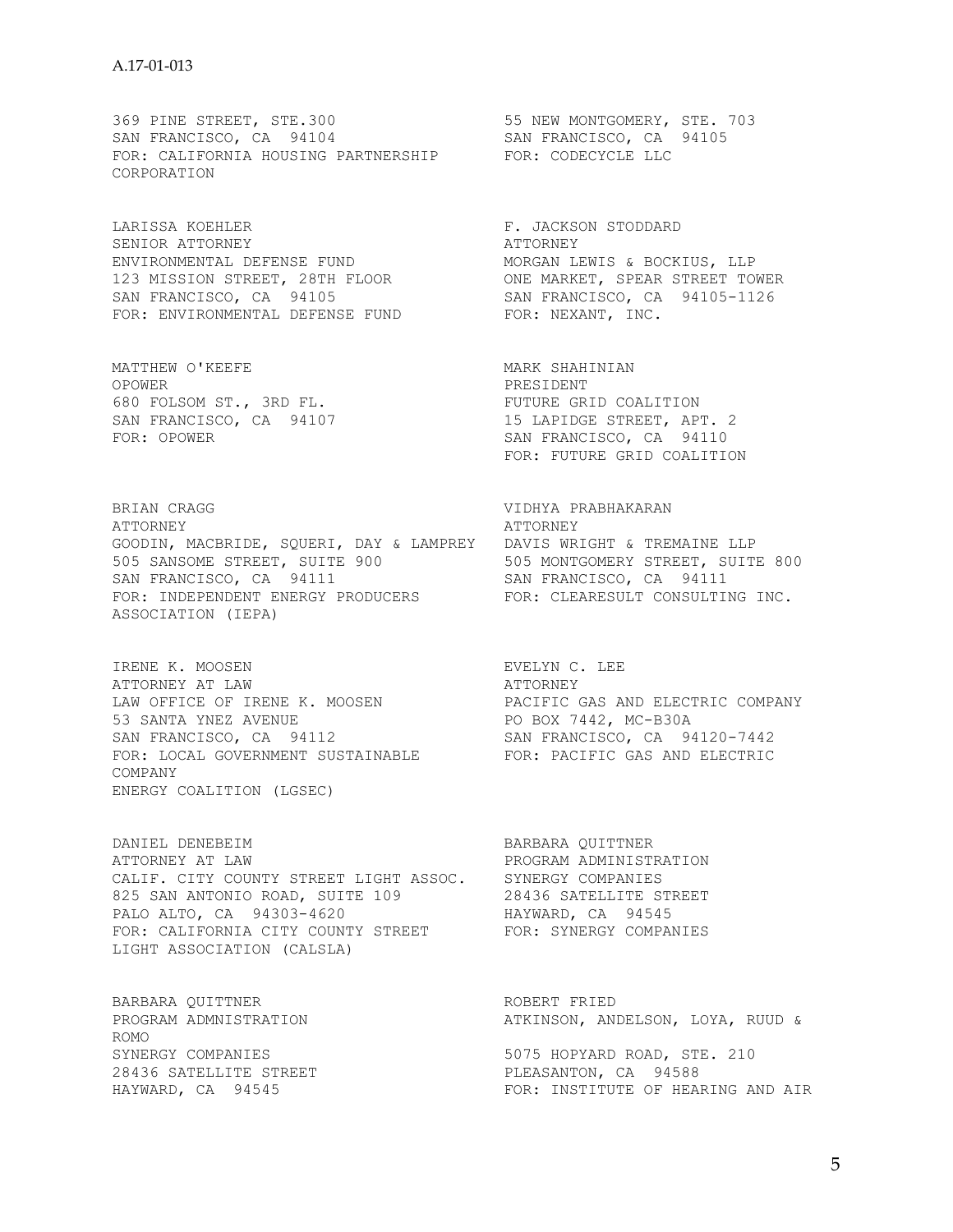369 PINE STREET, STE.300 55 NEW MONTGOMERY, STE. 703 SAN FRANCISCO, CA 94104 SAN FRANCISCO, CA 94105 FOR: CALIFORNIA HOUSING PARTNERSHIP FOR: CODECYCLE LLC CORPORATION

LARISSA KOEHLER F. JACKSON STODDARD SENIOR ATTORNEY **ATTORNEY** ENVIRONMENTAL DEFENSE FUND MORGAN LEWIS & BOCKIUS, LLP 123 MISSION STREET, 28TH FLOOR ONE MARKET, SPEAR STREET TOWER SAN FRANCISCO, CA 94105 SAN FRANCISCO, CA 94105-1126 FOR: ENVIRONMENTAL DEFENSE FUND FOR: NEXANT, INC.

MATTHEW O'KEEFE MARK SHAHINIAN OPOWER OPOWER PRESIDENT 680 FOLSOM ST., 3RD FL. FUTURE GRID COALITION

BRIAN CRAGG VIDHYA PRABHAKARAN ATTORNEY ATTORNEY GOODIN, MACBRIDE, SQUERI, DAY & LAMPREY DAVIS WRIGHT & TREMAINE LLP 505 SANSOME STREET, SUITE 900 505 MONTGOMERY STREET, SUITE 800 SAN FRANCISCO, CA 94111 SAN FRANCISCO, CA 94111 FOR: INDEPENDENT ENERGY PRODUCERS FOR: CLEARESULT CONSULTING INC. ASSOCIATION (IEPA)

IRENE K. MOOSEN EVELYN C. LEE ATTORNEY AT LAW ATTORNEY LAW OFFICE OF IRENE K. MOOSEN PACIFIC GAS AND ELECTRIC COMPANY 53 SANTA YNEZ AVENUE **EDDEAS ENDEAS E DE BOX 7442, MC-B30A** SAN FRANCISCO, CA 94112 SAN FRANCISCO, CA 94120-7442 FOR: LOCAL GOVERNMENT SUSTAINABLE FOR: PACIFIC GAS AND ELECTRIC COMPANY ENERGY COALITION (LGSEC)

DANIEL DENEBEIM BARBARA OUITTNER ATTORNEY AT LAW PROGRAM ADMINISTRATION CALIF. CITY COUNTY STREET LIGHT ASSOC. SYNERGY COMPANIES 825 SAN ANTONIO ROAD, SUITE 109 28436 SATELLITE STREET PALO ALTO, CA 94303-4620 HAYWARD, CA 94545 FOR: CALIFORNIA CITY COUNTY STREET FOR: SYNERGY COMPANIES LIGHT ASSOCIATION (CALSLA)

BARBARA QUITTNER **ROBERT FRIED** ROMO 28436 SATELLITE STREET FLEASANTON, CA 94588

SAN FRANCISCO, CA 94107 15 LAPIDGE STREET, APT. 2 FOR: OPOWER SAN FRANCISCO, CA 94110 FOR: FUTURE GRID COALITION

PROGRAM ADMNISTRATION ATKINSON, ANDELSON, LOYA, RUUD &

SYNERGY COMPANIES 600 100 100 100 100 100 5075 HOPYARD ROAD, STE. 210 HAYWARD, CA 94545 FOR: INSTITUTE OF HEARING AND AIR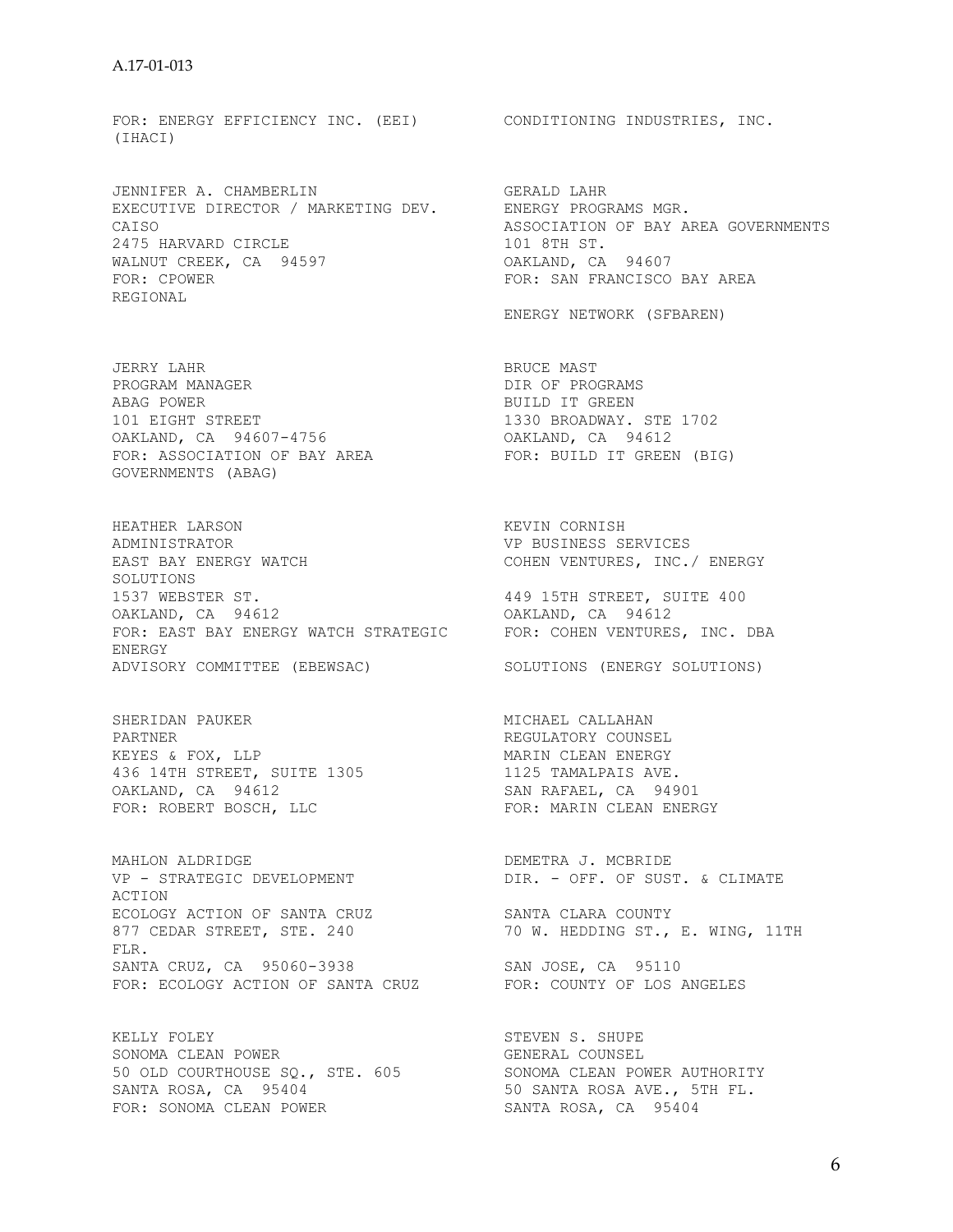FOR: ENERGY EFFICIENCY INC. (EEI) CONDITIONING INDUSTRIES, INC. (IHACI)

JENNIFER A. CHAMBERLIN GERALD LAHR<br>EXECUTIVE DIRECTOR / MARKETING DEV. ENERGY PROGRAMS MGR. EXECUTIVE DIRECTOR / MARKETING DEV. 2475 HARVARD CIRCLE 2475 HARVARD CIRCLE WALNUT CREEK, CA 94597 OAKLAND, CA 94607 FOR: CPOWER FOR: SAN FRANCISCO BAY AREA REGIONAL

JERRY LAHR BRUCE MAST ABAG POWER<br>101 EIGHT STREET THE SERIED STREET AS A STREET STREET AND STREET STREET AS A STREET STREET STREET STREET STREE 101 EIGHT STREET 1330 BROADWAY. STE 1702 OAKLAND, CA 94607-4756 OAKLAND, CA 94612 FOR: ASSOCIATION OF BAY AREA FOR: BUILD IT GREEN (BIG) GOVERNMENTS (ABAG)

HEATHER LARSON KEVIN CORNISH ADMINISTRATOR VP BUSINESS SERVICES EAST BAY ENERGY WATCH SOLUTIONS 1537 WEBSTER ST. 449 15TH STREET, SUITE 400 OAKLAND, CA 94612 OAKLAND, CA 94612 FOR: EAST BAY ENERGY WATCH STRATEGIC FOR: COHEN VENTURES, INC. DBA ENERGY ADVISORY COMMITTEE (EBEWSAC) SOLUTIONS (ENERGY SOLUTIONS)

SHERIDAN PAUKER MICHAEL CALLAHAN PARTNER MICHAEL CALLAHAN PARTNER<br>
KEYES & FOX, LLP<br>
436 14TH STREET, SUITE 1305 MARIN CLEAN ENERGY<br>
0AKLAND, CA 94612<br>
PARTAEL, CA 94901 KEYES & FOX, LLP MARIN CLEAN ENERGY 436 14TH STREET, SUITE 1305 1125 TAMALPAIS AVE. OAKLAND, CA 94612 SAN RAFAEL, CA 94901 FOR: ROBERT BOSCH, LLC FOR: MARIN CLEAN ENERGY

MAHLON ALDRIDGE<br>
VP - STRATEGIC DEVELOPMENT
VP - STRATEGIC DEVELOPMENT
DIR. - OFF. OF SUST. & CLIMATE MANLON ALDRIDGE<br>VP - STRATEGIC DEVELOPMENT ACTION ECOLOGY ACTION OF SANTA CRUZ SANTA CLARA COUNTY 877 CEDAR STREET, STE. 240 70 W. HEDDING ST., E. WING, 11TH FLR. SANTA CRUZ, CA 95060-3938 SAN JOSE, CA 95110<br>FOR: ECOLOGY ACTION OF SANTA CRUZ FOR: COUNTY OF LOS ANGELES FOR: ECOLOGY ACTION OF SANTA CRUZ

KELLY FOLEY STEVEN S. SHUPE SONOMA CLEAN POWER GENERAL COUNSEL 50 OLD COURTHOUSE SQ., STE. 605 SONOMA CLEAN POWER AUTHORITY SANTA ROSA, CA 95404 50 SANTA ROSA AVE., 5TH FL. FOR: SONOMA CLEAN POWER<br>FOR: SONOMA CLEAN POWER SANTA ROSA, CA 95404

CAISO CAISO ASSOCIATION OF BAY AREA GOVERNMENTS 2475 HARVARD CIRCLE CONNECT CONNECT AND ASSOCIATION OF BAY AREA GOVERNMENTS

ENERGY NETWORK (SFBAREN)

DIR OF PROGRAMS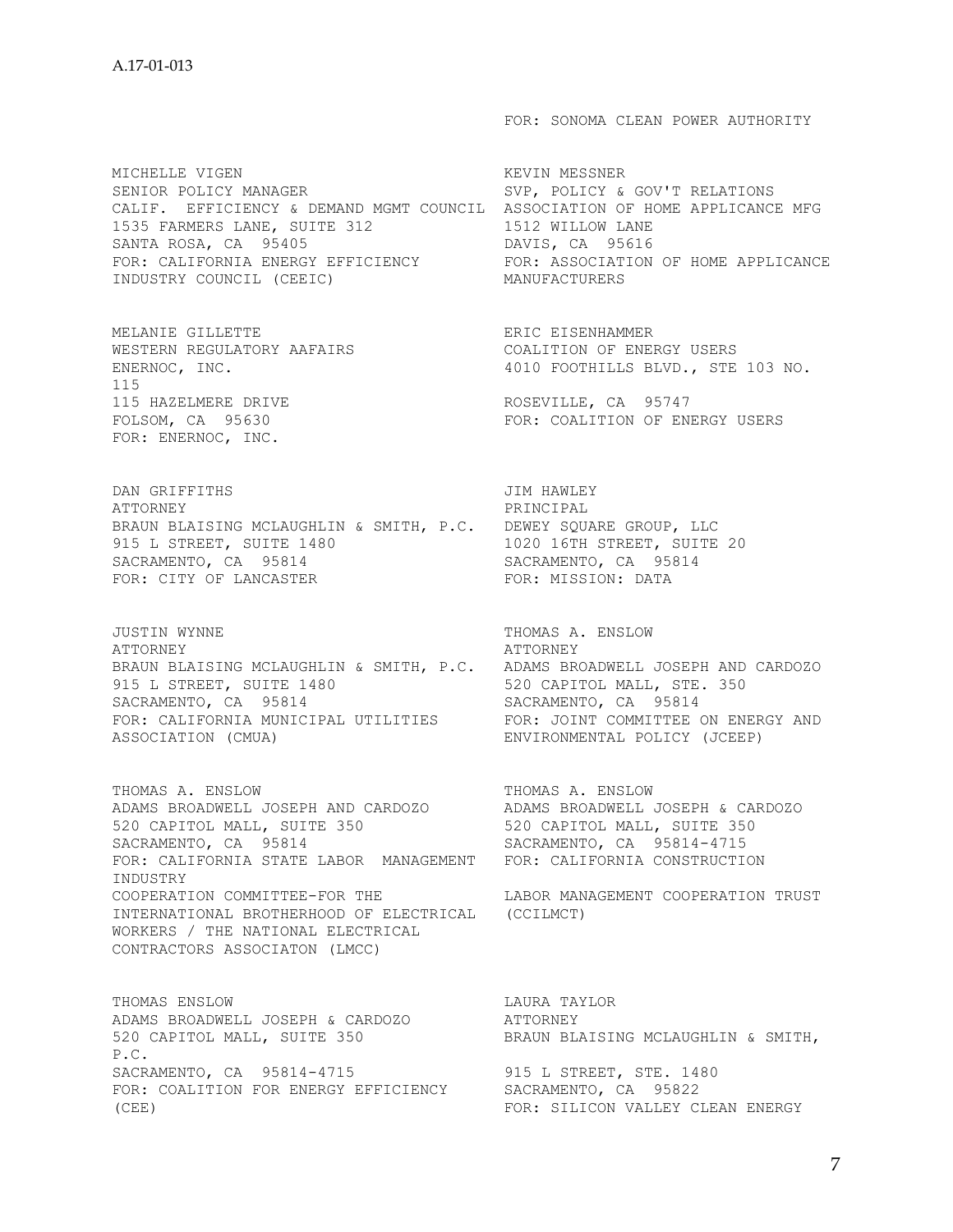MICHELLE VIGEN **KEVIN MESSNER** SENIOR POLICY MANAGER SVP, POLICY & GOV'T RELATIONS CALIF. EFFICIENCY & DEMAND MGMT COUNCIL ASSOCIATION OF HOME APPLICANCE MFG 1535 FARMERS LANE, SUITE 312 1512 WILLOW LANE SANTA ROSA, CA 95405 **DAVIS, CA 95616** FOR: CALIFORNIA ENERGY EFFICIENCY FOR: ASSOCIATION OF HOME APPLICANCE INDUSTRY COUNCIL (CEEIC) MANUFACTURERS

MELANIE GILLETTE ERIC EISENHAMMER 115 115 HAZELMERE DRIVE ROSEVILLE, CA 95747 FOR: ENERNOC, INC.

DAN GRIFFITHS JIM HAWLEY ATTORNEY PRINCIPAL BRAUN BLAISING MCLAUGHLIN & SMITH, P.C. DEWEY SQUARE GROUP, LLC 915 L STREET, SUITE 1480 1020 16TH STREET, SUITE 20 SACRAMENTO, CA 95814 SACRAMENTO, CA 95814 FOR: CITY OF LANCASTER FOR: MISSION: DATA

JUSTIN WYNNE THOMAS A. ENSLOW ATTORNEY ATTORNEY BRAUN BLAISING MCLAUGHLIN & SMITH, P.C. ADAMS BROADWELL JOSEPH AND CARDOZO 915 L STREET, SUITE 1480<br>
SACRAMENTO, CA 95814<br>
SACRAMENTO, CA 95814 SACRAMENTO, CA 95814 SACRAMENTO, CA 95814 FOR: CALIFORNIA MUNICIPAL UTILITIES FOR: JOINT COMMITTEE ON ENERGY AND ASSOCIATION (CMUA) ENVIRONMENTAL POLICY (JCEEP)

THOMAS A. ENSLOW THOMAS A. ENSLOW ADAMS BROADWELL JOSEPH AND CARDOZO ADAMS BROADWELL JOSEPH & CARDOZO 520 CAPITOL MALL, SUITE 350 520 CAPITOL MALL, SUITE 350 SACRAMENTO, CA 95814 SACRAMENTO, CA 95814-4715 FOR: CALIFORNIA STATE LABOR MANAGEMENT FOR: CALIFORNIA CONSTRUCTION INDUSTRY COOPERATION COMMITTEE-FOR THE LABOR MANAGEMENT COOPERATION TRUST INTERNATIONAL BROTHERHOOD OF ELECTRICAL (CCILMCT) WORKERS / THE NATIONAL ELECTRICAL CONTRACTORS ASSOCIATON (LMCC)

THOMAS ENSLOW **Example 19 and 20 and 20 and 20 and 20 and 20 and 20 and 20 and 20 and 20 and 20 and 20 and 20 and 20 and 20 and 20 and 20 and 20 and 20 and 20 and 20 and 20 and 20 and 20 and 20 and 20 and 20 and 20 and 20** ADAMS BROADWELL JOSEPH & CARDOZO ATTORNEY 520 CAPITOL MALL, SUITE 350 BRAUN BLAISING MCLAUGHLIN & SMITH, P.C. SACRAMENTO, CA 95814-4715 915 L STREET, STE. 1480 FOR: COALITION FOR ENERGY EFFICIENCY SACRAMENTO, CA 95822 (CEE) FOR: SILICON VALLEY CLEAN ENERGY

FOR: SONOMA CLEAN POWER AUTHORITY

WESTERN REGULATORY AAFAIRS **EXECUTE COALITION OF ENERGY USERS** ENERNOC, INC.  $4010$  FOOTHILLS BLVD., STE 103 NO.

FOR: COALITION OF ENERGY USERS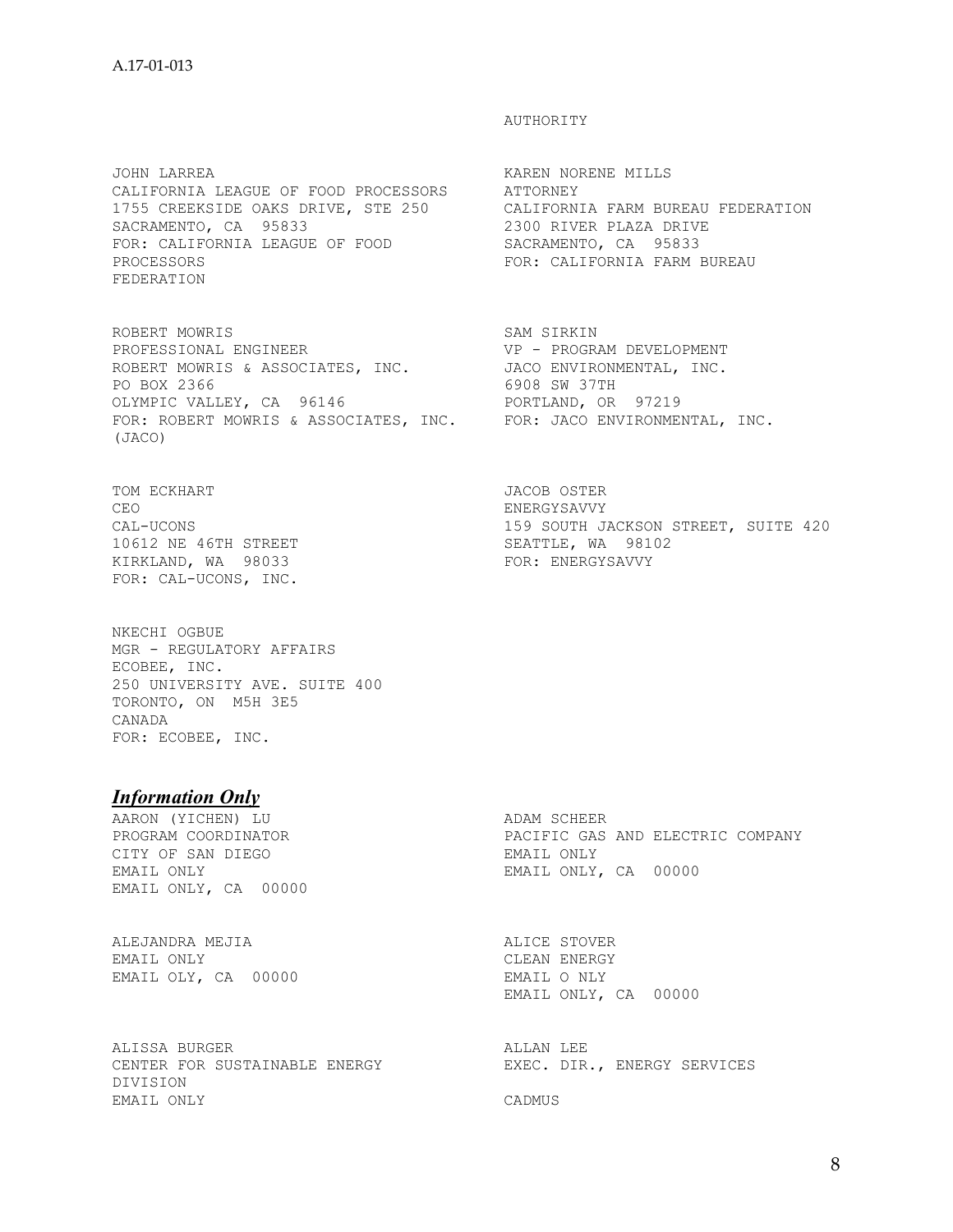JOHN LARREA KAREN NORENE MILLS CALIFORNIA LEAGUE OF FOOD PROCESSORS ATTORNEY 1755 CREEKSIDE OAKS DRIVE, STE 250 CALIFORNIA FARM BUREAU FEDERATION SACRAMENTO, CA 95833 2300 RIVER PLAZA DRIVE FOR: CALIFORNIA LEAGUE OF FOOD SACRAMENTO, CA 95833 PROCESSORS FOR: CALIFORNIA FARM BUREAU FEDERATION

ROBERT MOWRIS<br>
PROFESSIONAL ENGINEER<br>
VP - PROGRAM DEVELOPMENT PROFESSIONAL ENGINEER VP - PROGRAM DEVELOPMENT ROBERT MOWRIS & ASSOCIATES, INC. JACO ENVIRONMENTAL, INC. PO BOX 2366 6908 SW 37TH OLYMPIC VALLEY, CA 96146 PORTLAND, OR 97219 FOR: ROBERT MOWRIS & ASSOCIATES, INC. FOR: JACO ENVIRONMENTAL, INC. (JACO)

TOM ECKHART JACOB OSTER CEO ENERGYSAVVY 10612 NE 46TH STREET SEATTLE, WA 98102 KIRKLAND, WA 98033 FOR: ENERGYSAVVY FOR: CAL-UCONS, INC.

NKECHI OGBUE MGR - REGULATORY AFFAIRS ECOBEE, INC. 250 UNIVERSITY AVE. SUITE 400 TORONTO, ON M5H 3E5 CANADA FOR: ECOBEE, INC.

## *Information Only*

AARON (YICHEN) LU ADAM SCHEER CITY OF SAN DIEGO GAN CHARA EMAIL ONLY EMAIL ONLY PROTECT THAT CONTROLLY AND CONTROLLY AND THE CONTROLLY ONLY A SEMI-EMAIL ONLY, CA 00000

ALEJANDRA MEJIA ALICE STOVER EMAIL OLY, CA 00000

ALISSA BURGER ALLAN LEE CENTER FOR SUSTAINABLE ENERGY EXEC. DIR., ENERGY SERVICES DIVISION EMAIL ONLY CADMUS

## AUTHORITY

CAL-UCONS 159 SOUTH JACKSON STREET, SUITE 420

PROGRAM COORDINATOR PACIFIC GAS AND ELECTRIC COMPANY EMAIL ONLY, CA 00000

> CLEAN ENERGY<br>EMAIL O NLY EMAIL ONLY, CA 00000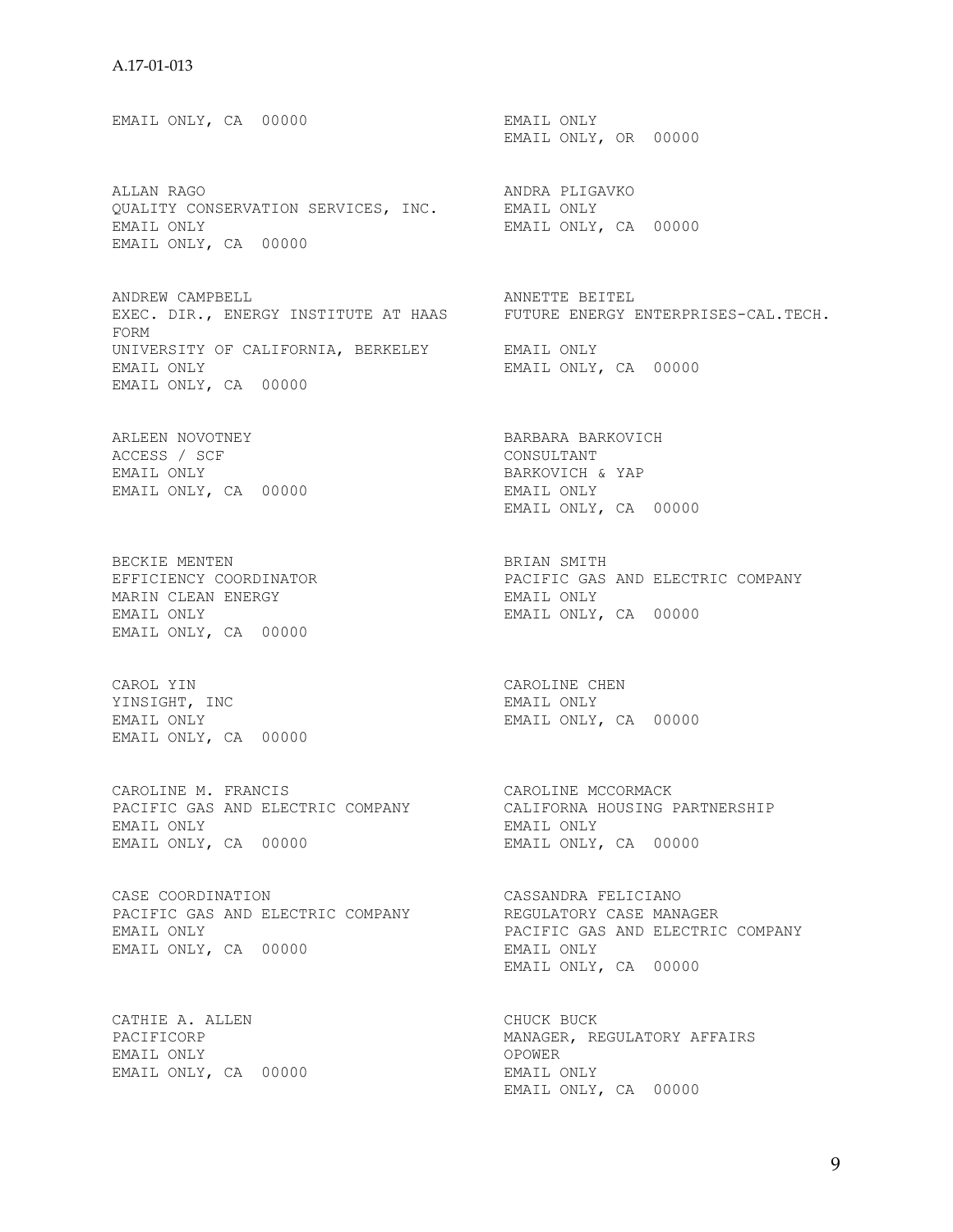EMAIL ONLY, CA 00000 EMAIL ONLY EMAIL ONLY, OR 00000 ALLAN RAGO ANDRA PLIGAVKO OUALITY CONSERVATION SERVICES, INC. EMAIL ONLY EMAIL ONLY, CA 00000 EMAIL ONLY, CA 00000 ANDREW CAMPBELL **ANDREW COMPRESS CONTROL** EXEC. DIR., ENERGY INSTITUTE AT HAAS FUTURE ENERGY ENTERPRISES-CAL.TECH. FORM UNIVERSITY OF CALIFORNIA, BERKELEY EMAIL ONLY EMAIL ONLY, CA 00000 EMAIL ONLY, CA 00000 ARLEEN NOVOTNEY BARBARA BARKOVICH ACCESS / SCF CONSULTANT CONSULTANT EMAIL ONLY EMAIL ONLY BARKOVICH & YAP EMAIL ONLY, CA 00000 EMAIL ONLY EMAIL ONLY, CA 00000 BECKIE MENTEN DERIAN SMITH EFFICIENCY COORDINATOR PACIFIC GAS AND ELECTRIC COMPANY MARIN CLEAN ENERGY **EMAIL ONLY** EMAIL ONLY EMAIL ONLY, CA 00000 EMAIL ONLY, CA 00000 CAROL YIN CAROLINE CHEN YINSIGHT, INC<br>
EMAIL ONLY<br>
EMAIL ONLY<br>
EMAIL ONLY EMAIL ONLY, CA 00000 EMAIL ONLY, CA 00000 CAROLINE M. FRANCIS CAROLINE MCCORMACK PACIFIC GAS AND ELECTRIC COMPANY CALIFORNA HOUSING PARTNERSHIP EMAIL ONLY EMAIL ONLY EMAIL ONLY, CA 00000 BMAIL ONLY, CA 00000 CASE COORDINATION CASSANDRA FELICIANO PACIFIC GAS AND ELECTRIC COMPANY THE REGULATORY CASE MANAGER EMAIL ONLY PACIFIC GAS AND ELECTRIC COMPANY EMAIL ONLY, CA 00000 EMAIL ONLY EMAIL ONLY, CA 00000 CATHIE A. ALLEN CHUCK BUCK PACIFICORP MANAGER, REGULATORY AFFAIRS<br>OPOWER EMAIL ONLY

EMAIL ONLY, CA 00000 EMAIL ONLY

EMAIL ONLY, CA 00000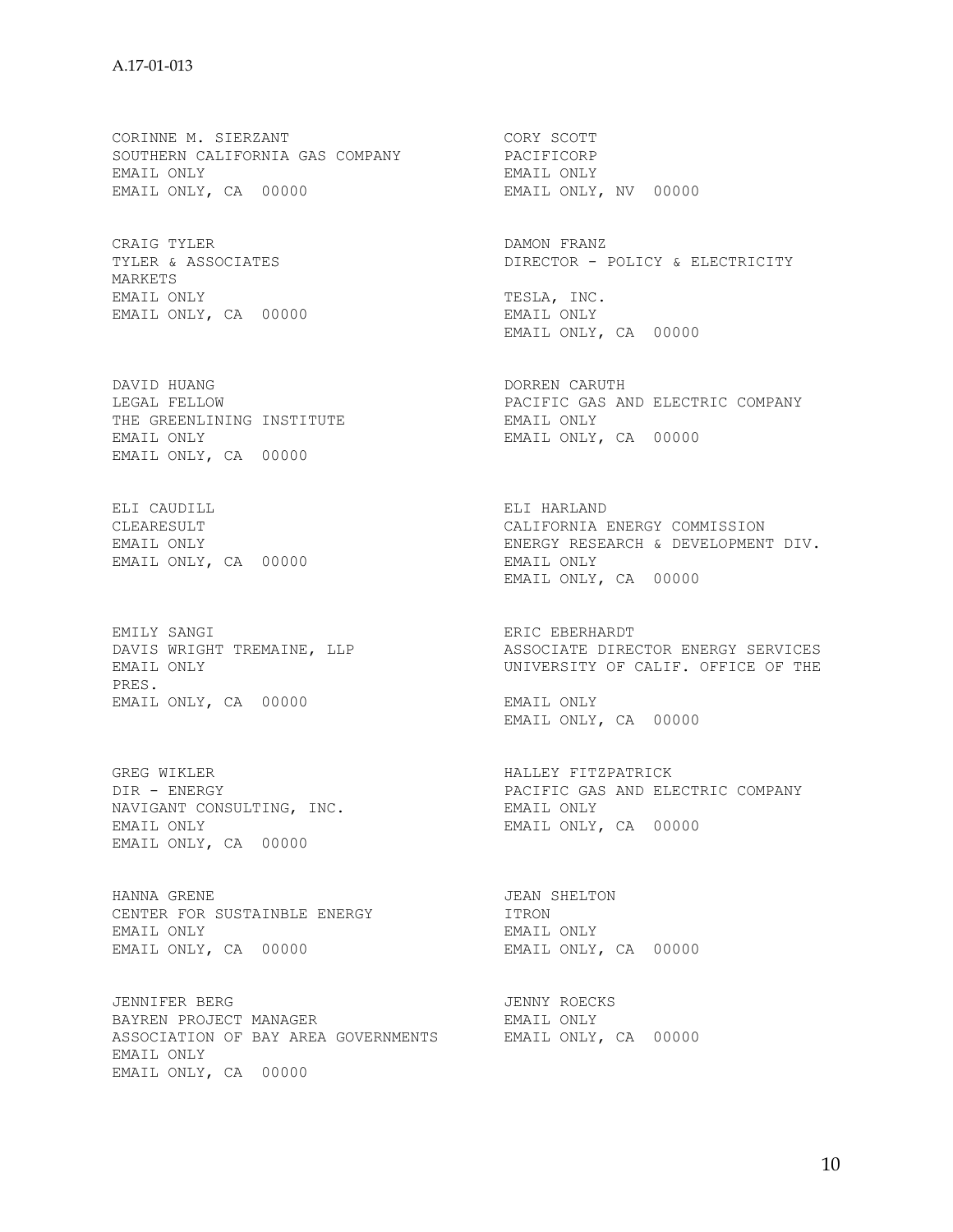CORINNE M. SIERZANT CORY SCOTT SOUTHERN CALIFORNIA GAS COMPANY PACIFICORP EMAIL ONLY EMAIL ONLY EMAIL ONLY, CA 00000

CRAIG TYLER CONSTRANT CRAIG TYLER & ASSOCIATES CONSTRANT CONSTRANT DIRECTOR - E MARKETS EMAIL ONLY TESLA, INC. EMAIL ONLY, CA 00000 EMAIL ONLY

THE GREENLINING INSTITUTE THE EMAIL ONLY EMAIL ONLY EMAIL ONLY, CA 00000 EMAIL ONLY, CA 00000

ELI CAUDILL ELI HARLAND EMAIL ONLY, CA 00000 EMAIL ONLY

DAVIS WRIGHT TREMAINE, LLP<br>EMAIL ONLY PRES. EMAIL ONLY, CA 00000 EMAIL ONLY

GREG WIKLER **HALLEY FITZPATRICK** NAVIGANT CONSULTING, INC. EMAIL ONLY EMAIL ONLY EMAIL ONLY, CA 00000 EMAIL ONLY, CA 00000

HANNA GRENE **JEAN SHELTON** CENTER FOR SUSTAINBLE ENERGY **ITRON** EMAIL ONLY EMAIL ONLY EMAIL ONLY, CA 00000 EMAIL ONLY, CA 00000

JENNIFER BERG JENNY ROECKS BAYREN PROJECT MANAGER **EMAIL ONLY** ASSOCIATION OF BAY AREA GOVERNMENTS EMAIL ONLY, CA 00000 EMAIL ONLY EMAIL ONLY, CA 00000

DIRECTOR - POLICY & ELECTRICITY EMAIL ONLY, CA 00000 DAVID HUANG DORREN CARUTH LEGAL FELLOW PACIFIC GAS AND ELECTRIC COMPANY CLEARESULT CALIFORNIA ENERGY COMMISSION EMAIL ONLY ENERGY RESEARCH & DEVELOPMENT DIV. EMAIL ONLY, CA 00000 EMILY SANGI<br>
DAVIS WRIGHT TREMAINE, LLP

DAVIS WRIGHT TREMAINE, LLP

DAVIS WRIGHT TREMAINE, LLP

DASSOCIATE DIRECTOR ENERGY SERVICES UNIVERSITY OF CALIF. OFFICE OF THE EMAIL ONLY, CA 00000 DIR - ENERGY PACIFIC GAS AND ELECTRIC COMPANY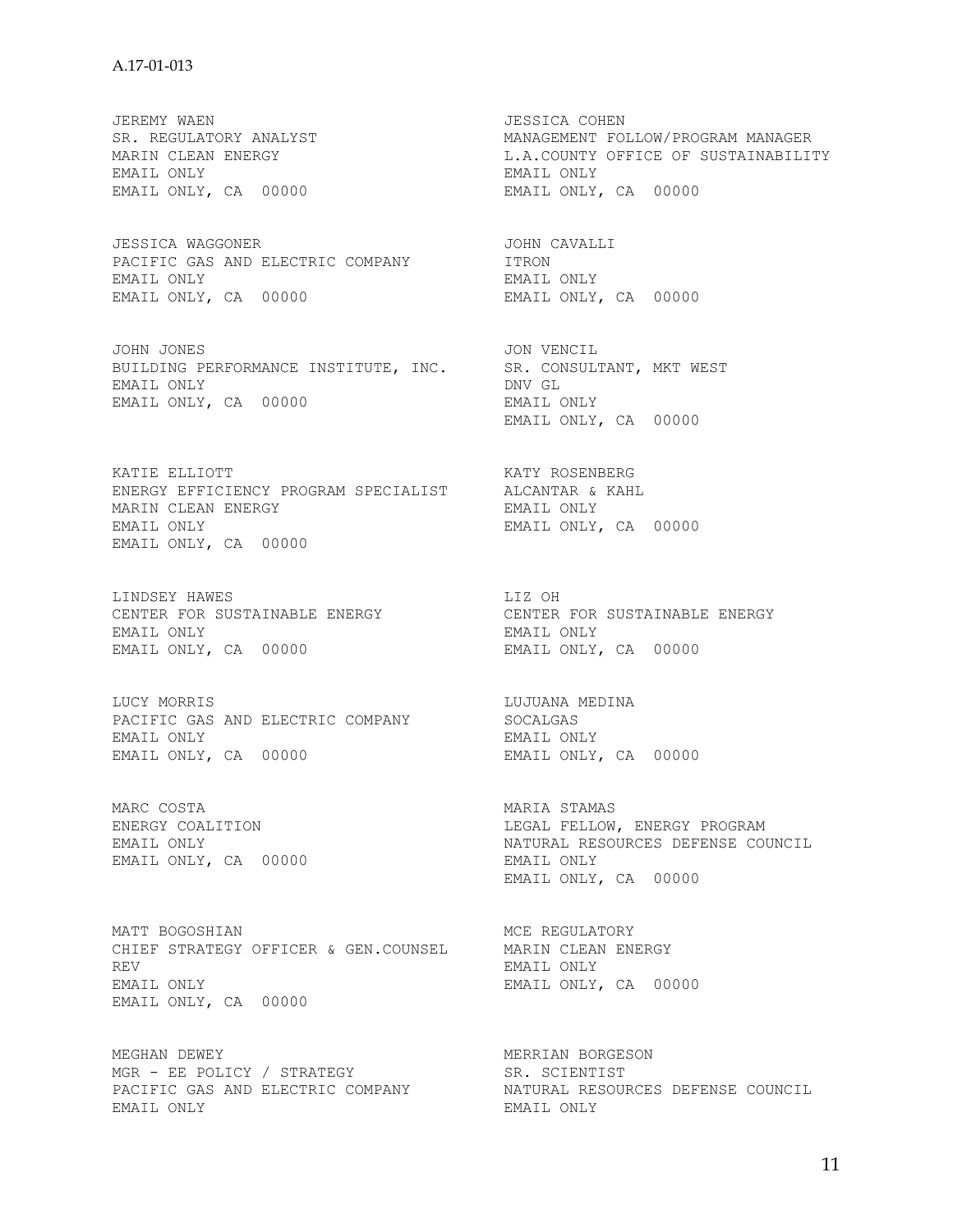JEREMY WAEN JESSICA COHEN EMAIL ONLY EMAIL ONLY EMAIL ONLY, CA 00000 EMAIL ONLY, CA 00000

JESSICA WAGGONER JOHN CAVALLI PACIFIC GAS AND ELECTRIC COMPANY **ITRON** EMAIL ONLY **EMAIL ONLY** EMAIL ONLY, CA 00000 EMAIL ONLY, CA 00000

JOHN JONES JON VENCIL BUILDING PERFORMANCE INSTITUTE, INC. SR. CONSULTANT, MKT WEST<br>EMAIL ONLY EMAIL ONLY DNV GL EMAIL ONLY, CA 00000 EMAIL ONLY

KATIE ELLIOTT KATY ROSENBERG ENERGY EFFICIENCY PROGRAM SPECIALIST MARIN CLEAN ENERGY EMAIL ONLY EMAIL ONLY, CA 00000 EMAIL ONLY, CA 00000

LINDSEY HAWES LIZ OH CENTER FOR SUSTAINABLE ENERGY CENTER FOR SUSTAINABLE ENERGY EMAIL ONLY EMAIL ONLY EMAIL ONLY, CA 00000 EMAIL ONLY, CA 00000

LUCY MORRIS LUJUANA MEDINA PACIFIC GAS AND ELECTRIC COMPANY SOCALGAS EMAIL ONLY EMAIL ONLY EMAIL ONLY, CA 00000 EMAIL ONLY, CA 00000

MARC COSTA STAMAS NARIA STAMAS EMAIL ONLY, CA 00000 EMAIL ONLY

MATT BOGOSHIAN MCE REGULATORY CHIEF STRATEGY OFFICER & GEN.COUNSEL REV EMAIL ONLY EMAIL ONLY EMAIL ONLY, CA 00000 EMAIL ONLY, CA 00000

MEGHAN DEWEY **MERRIAN BORGESON** MGR - EE POLICY / STRATEGY SR. SCIENTIST EMAIL ONLY **EMAIL ONLY** 

SR. REGULATORY ANALYST **MANAGEMENT FOLLOW**/PROGRAM MANAGER MARIN CLEAN ENERGY **Example 20 FM** L.A.COUNTY OFFICE OF SUSTAINABILITY

EMAIL ONLY, CA 00000

ENERGY COALITION LEGAL FELLOW, ENERGY PROGRAM EMAIL ONLY ONLY THE SOURCES DEFENSE COUNCIL EMAIL ONLY THAT CAN COUNCIL EMAIL ONLY THAT CAN COUNCIL EMAIL ONLY, CA 00000

PACIFIC GAS AND ELECTRIC COMPANY NATURAL RESOURCES DEFENSE COUNCIL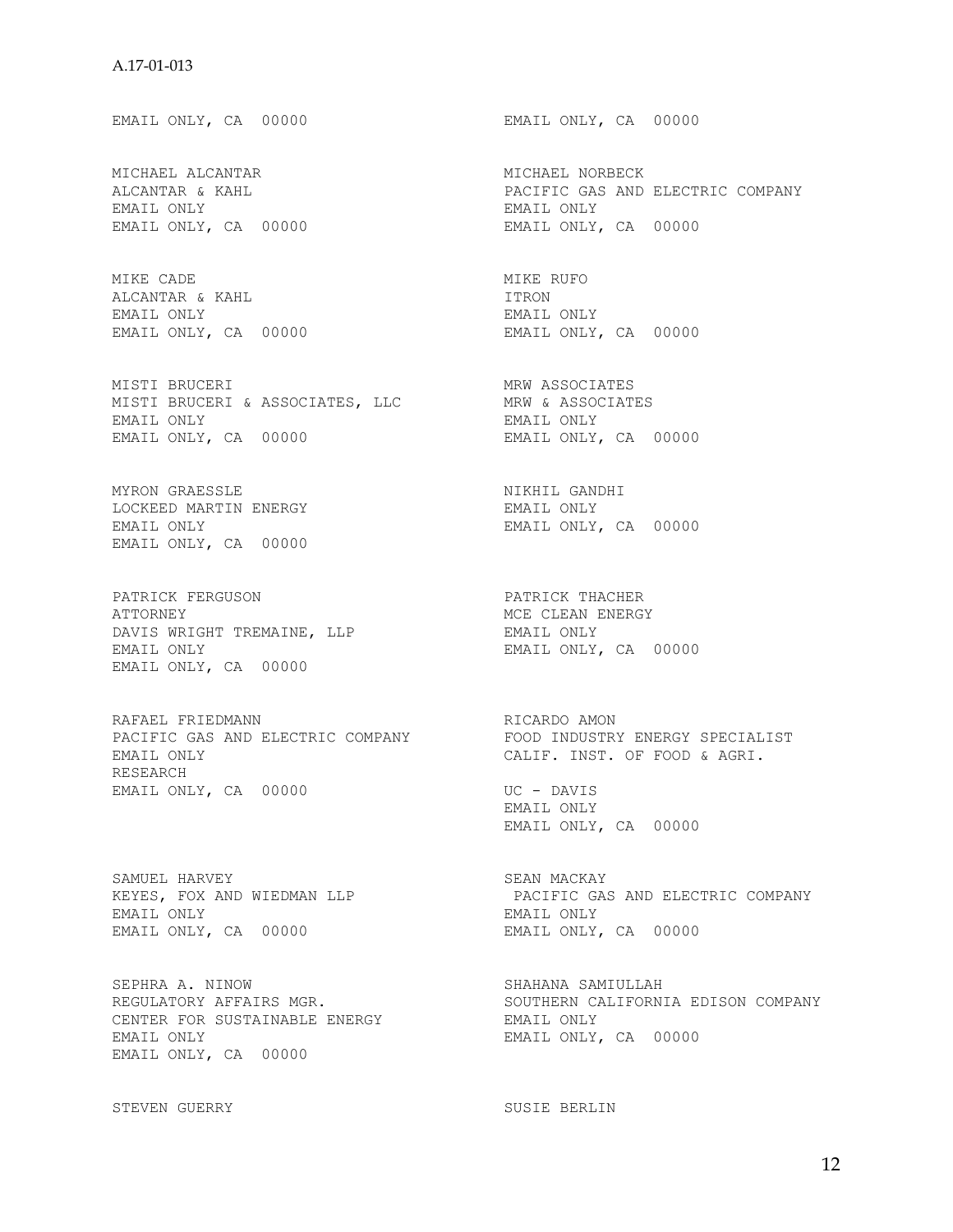EMAIL ONLY, CA 00000 EMAIL ONLY, CA 00000 MICHAEL ALCANTAR MICHAEL NORBECK PACIFIC GAS AND ELECTRIC COMPANY EMAIL ONLY EMAIL ONLY EMAIL ONLY, CA 00000 EMAIL ONLY, CA 00000 MIKE CADE **MIKE RUFO** ALCANTAR & KAHL ITRON EMAIL ONLY EMAIL ONLY EMAIL ONLY, CA 00000 EMAIL ONLY, CA 00000 MISTI BRUCERI MISTO MRW ASSOCIATES MISTI BRUCERI & ASSOCIATES, LLC MRW & ASSOCIATES EMAIL ONLY EMAIL ONLY EMAIL ONLY, CA 00000 EMAIL ONLY, CA 00000 MYRON GRAESSLE NIKHIL GANDHI LOCKEED MARTIN ENERGY **EMAIL ONLY** EMAIL ONLY EMAIL ONLY, CA 00000 EMAIL ONLY, CA 00000 PATRICK FERGUSON PATRICK THACHER ATTORNEY THE SERVICE OF THE MORE CLEAN ENERGY DAVIS WRIGHT TREMAINE, LLP EMAIL ONLY EMAIL ONLY EMAIL ONLY, CA 00000 EMAIL ONLY, CA 00000 RAFAEL FRIEDMANN **REGALISTS** RICARDO AMON PACIFIC GAS AND ELECTRIC COMPANY FOOD INDUSTRY ENERGY SPECIALIST EMAIL ONLY CALIF. INST. OF FOOD & AGRI. RESEARCH EMAIL ONLY, CA 00000 UC - DAVIS EMAIL ONLY EMAIL ONLY, CA 00000 SAMUEL HARVEY SEAN MACKAY KEYES, FOX AND WIEDMAN LLP **EXALL SECTRIC GAS AND ELECTRIC COMPANY** EMAIL ONLY EMAIL ONLY EMAIL ONLY, CA 00000 EMAIL ONLY, CA 00000 SEPHRA A. NINOW SHAHANA SAMIULLAH

CENTER FOR SUSTAINABLE ENERGY FOR THAIL ONLY EMAIL ONLY EMAIL ONLY, CA 00000 EMAIL ONLY, CA 00000

STEVEN GUERRY SUSIE BERLIN

REGULATORY AFFAIRS MGR. THE SOUTHERN CALIFORNIA EDISON COMPANY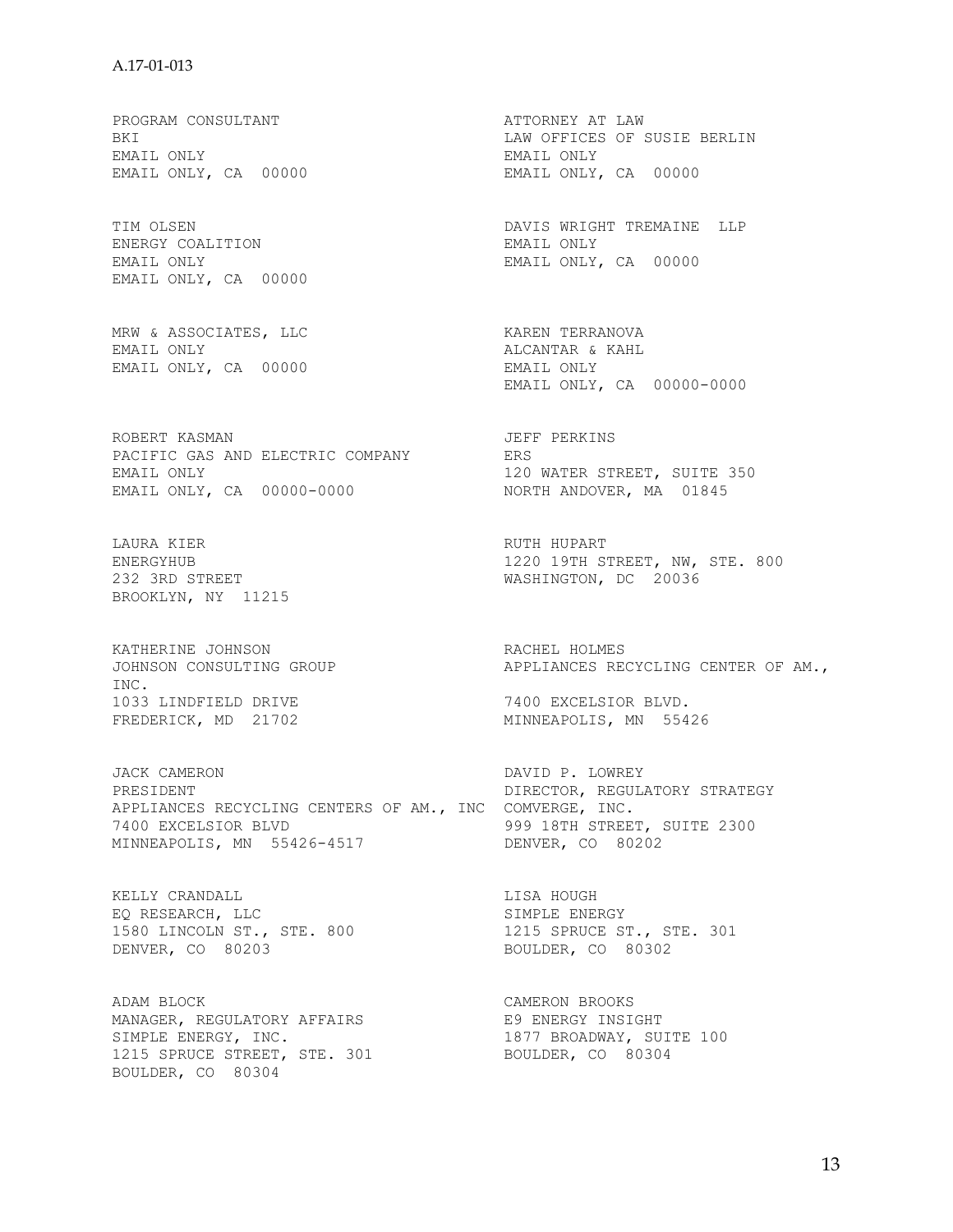PROGRAM CONSULTANT ATTORNEY AT LAW EMAIL ONLY EMAIL ONLY

ENERGY COALITION BENERGY COALITION EMAIL ONLY ENAIL ONLY EMAIL ONLY . EMAIL ONLY, CA 00000

MRW & ASSOCIATES, LLC KAREN TERRANOVA EMAIL ONLY, CA 00000 EMAIL ONLY

ROBERT KASMAN 1999 - THE SERIES OF THE PERKINS PACIFIC GAS AND ELECTRIC COMPANY ERS EMAIL ONLY<br>
EMAIL ONLY, CA 00000-0000 NORTH ANDOVER, MA 01845 EMAIL ONLY, CA 00000-0000

LAURA KIER NEER RUTH HUPART BROOKLYN, NY 11215

KATHERINE JOHNSON<br>
JOHNSON CONSULTING GROUP<br>
APPLIANCES RE INC. 1033 LINDFIELD DRIVE 1033 LINDFIELD DRIVE 1000 CONSUMERTION 7400 EXCELSIOR BLVD.<br>FREDERICK, MD 21702

JACK CAMERON DAVID P. LOWREY PRESIDENT **DIRECTOR, REGULATORY STRATEGY** APPLIANCES RECYCLING CENTERS OF AM., INC COMVERGE, INC. 7400 EXCELSIOR BLVD 999 18TH STREET, SUITE 2300 MINNEAPOLIS, MN 55426-4517 DENVER, CO 80202

KELLY CRANDALL LISA HOUGH EQ RESEARCH, LLC SIMPLE ENERGY DENVER, CO 80203 BOULDER, CO 80302

ADAM BLOCK CAMERON BROOKS MANAGER, REGULATORY AFFAIRS THE RESOLATION RESOLUTION SIMPLE ENERGY, INC. THE REAL RESOLUTION OF THE REAL SUITE 100 1215 SPRUCE STREET, STE. 301 BOULDER, CO 80304 BOULDER, CO 80304

BKI LAW OFFICES OF SUSIE BERLIN EMAIL ONLY, CA 00000 TIM OLSEN DAVIS WRIGHT TREMAINE LLP EMAIL ONLY, CA 00000 ALCANTAR & KAHL<br>EMAIL ONLY EMAIL ONLY, CA 00000-0000 ENERGYHUB 1220 19TH STREET, NW, STE. 800 232 3RD STREET WASHINGTON, DC 20036 APPLIANCES RECYCLING CENTER OF AM., MINNEAPOLIS, MN 55426 1580 LINCOLN ST., STE. 800 1215 SPRUCE ST., STE. 301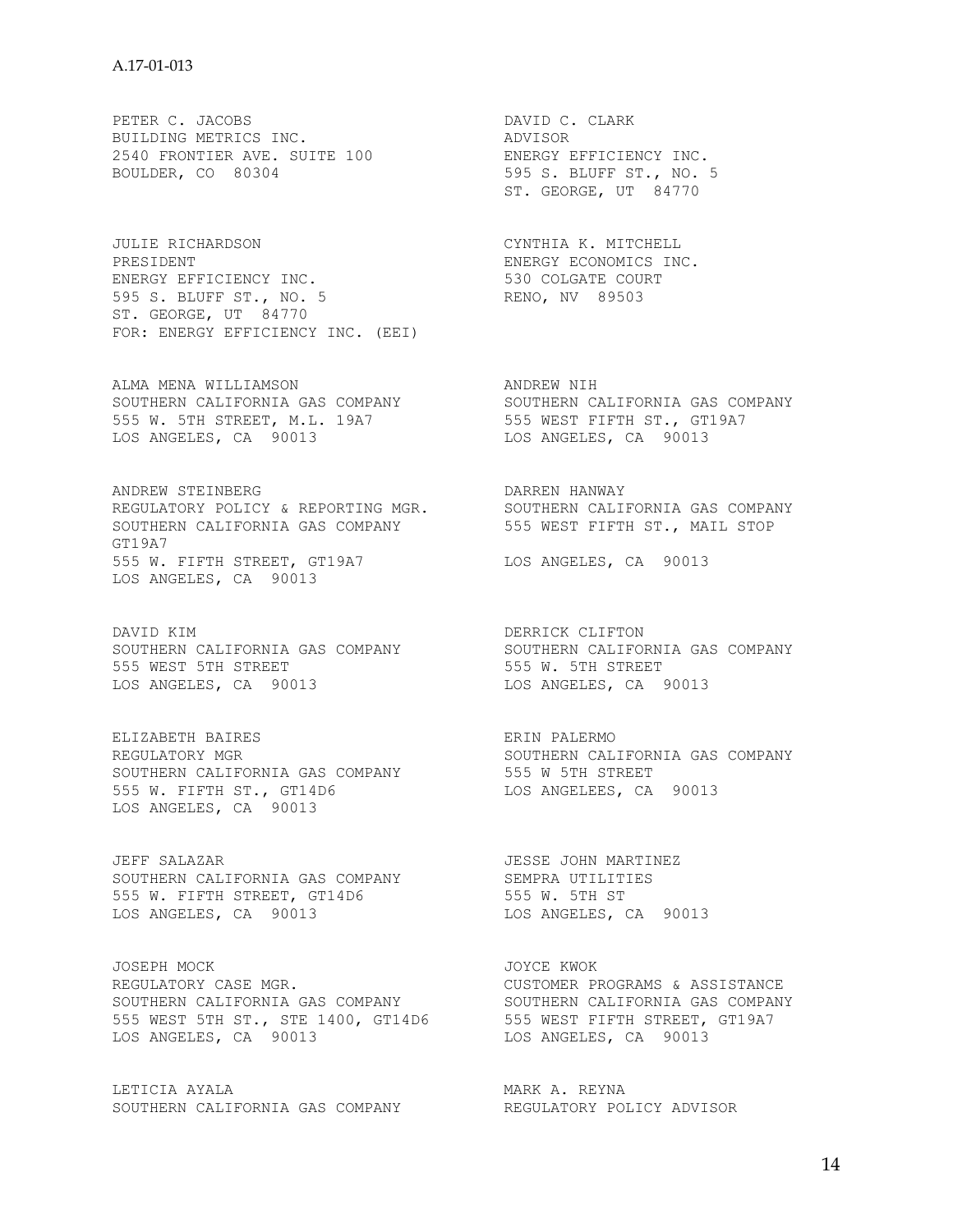PETER C. JACOBS DAVID C. CLARK BUILDING METRICS INC. ADVISOR 2540 FRONTIER AVE. SUITE 100 ENERGY EFFICIENCY INC. BOULDER, CO 80304 595 S. BLUFF ST., NO. 5

JULIE RICHARDSON CYNTHIA K. MITCHELL<br>PRESIDENT CHARDSON CHARLES ENERGY ECONOMICS INC. PRESIDENT **ENERGY ECONOMICS INC.** ENERGY EFFICIENCY INC. 530 COLGATE COURT 595 S. BLUFF ST., NO. 5 RENO, NV 89503 ST. GEORGE, UT 84770 FOR: ENERGY EFFICIENCY INC. (EEI)

ALMA MENA WILLIAMSON ANDREW NIH SOUTHERN CALIFORNIA GAS COMPANY SOUTHERN CALIFORNIA GAS COMPANY 555 W. 5TH STREET, M.L. 19A7 555 WEST FIFTH ST., GT19A7 LOS ANGELES, CA 90013 LOS ANGELES, CA 90013

ANDREW STEINBERG **DARREN HANWAY** REGULATORY POLICY & REPORTING MGR. SOUTHERN CALIFORNIA GAS COMPANY SOUTHERN CALIFORNIA GAS COMPANY 555 WEST FIFTH ST., MAIL STOP GT19A7 555 W. FIFTH STREET, GT19A7 LOS ANGELES, CA 90013 LOS ANGELES, CA 90013

DAVID KIM **DERRICK** CLIFTON 555 WEST 5TH STREET 555 W. 5TH STREET LOS ANGELES, CA 90013 LOS ANGELES, CA 90013

REGULATORY MGR SOUTHERN CALIFORNIA GAS COMPANY SOUTHERN CALIFORNIA GAS COMPANY 555 W 5TH STREET 555 W. FIFTH ST., GT14D6 LOS ANGELEES, CA 90013 LOS ANGELES, CA 90013

JEFF SALAZAR JESSE JOHN MARTINEZ SOUTHERN CALIFORNIA GAS COMPANY SEMPRA UTILITIES 555 W. FIFTH STREET, GT14D6 555 W. 5TH ST LOS ANGELES, CA 90013 LOS ANGELES, CA 90013

JOSEPH MOCK SOURCE OF A STREET AND A STREET AND A STREET AND A STREET AND A STREET AND A STREET AND A STREET A REGULATORY CASE MGR. THE REGULATORY CUSTOMER PROGRAMS & ASSISTANCE SOUTHERN CALIFORNIA GAS COMPANY SOUTHERN CALIFORNIA GAS COMPANY 555 WEST 5TH ST., STE 1400, GT14D6 555 WEST FIFTH STREET, GT19A7 LOS ANGELES, CA 90013 LOS ANGELES, CA 90013

LETICIA AYALA  $\blacksquare$ SOUTHERN CALIFORNIA GAS COMPANY REGULATORY POLICY ADVISOR

ST. GEORGE, UT 84770

SOUTHERN CALIFORNIA GAS COMPANY SOUTHERN CALIFORNIA GAS COMPANY

ELIZABETH BAIRES<br>REGULATORY MGRAUSE ERIN PALERMOND BOUTHERN CALIFORNIA GAS COMPANY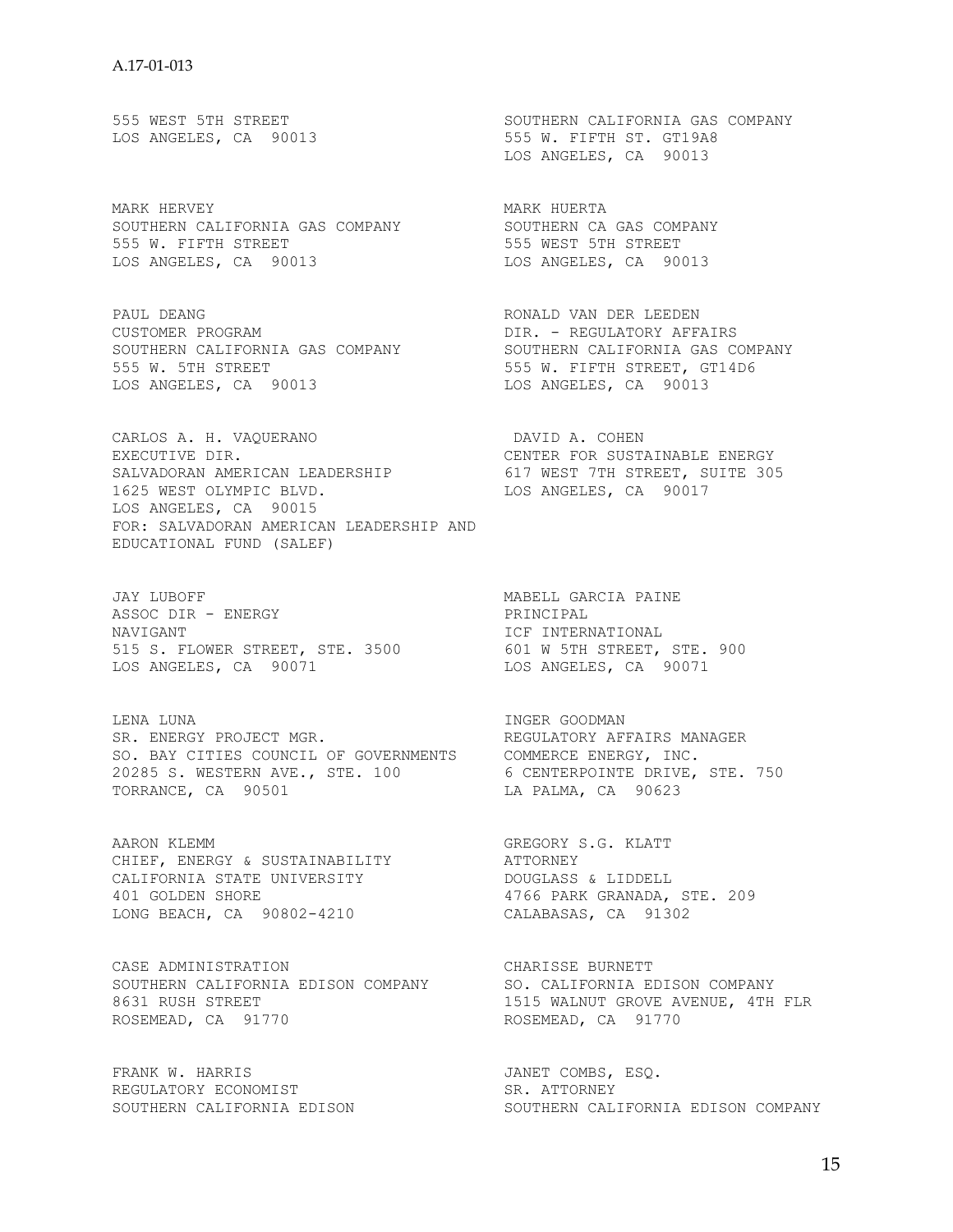MARK HERVEY **MARK HUERTA** SOUTHERN CALIFORNIA GAS COMPANY SOUTHERN CA GAS COMPANY 555 W. FIFTH STREET **555 WEST 5TH STREET** LOS ANGELES, CA 90013 LOS ANGELES, CA 90013

PAUL DEANG RONALD VAN DER LEEDEN CUSTOMER PROGRAM CUSTOMER PROGRAM CUSTOMER PROGRAM **Example 20 September 2015** PORT - REGULATORY AFFAIRS SOUTHERN CALIFORNIA GAS COMPANY SOUTHERN CALIFORNIA GAS COMPANY 555 W. 5TH STREET **555 W. FIFTH STREET, GT14D6** LOS ANGELES, CA 90013 LOS ANGELES, CA 90013

CARLOS A. H. VAQUERANO DAVID A. COHEN EXECUTIVE DIR. CENTER FOR SUSTAINABLE ENERGY SALVADORAN AMERICAN LEADERSHIP 617 WEST 7TH STREET, SUITE 305 1625 WEST OLYMPIC BLVD. LOS ANGELES, CA 90017 LOS ANGELES, CA 90015 FOR: SALVADORAN AMERICAN LEADERSHIP AND EDUCATIONAL FUND (SALEF)

JAY LUBOFF MABELL GARCIA PAINE ASSOC DIR - ENERGY PRINCIPAL NAVIGANT SERVICE SUPERSETTION THAT INTERNATIONAL 515 S. FLOWER STREET, STE. 3500 601 W 5TH STREET, STE. 900 LOS ANGELES, CA 90071 LOS ANGELES, CA 90071

LENA LUNA INGER GOODMAN SR. ENERGY PROJECT MGR. THE REGULATORY AFFAIRS MANAGER SO. BAY CITIES COUNCIL OF GOVERNMENTS COMMERCE ENERGY, INC. 20285 S. WESTERN AVE., STE. 100 6 CENTERPOINTE DRIVE, STE. 750 TORRANCE, CA 90501 LA PALMA, CA 90623

AARON KLEMM GREGORY S.G. KLATT CHIEF, ENERGY & SUSTAINABILITY **ATTORNEY** CALIFORNIA STATE UNIVERSITY DOUGLASS & LIDDELL 401 GOLDEN SHORE 4766 PARK GRANADA, STE. 209 LONG BEACH, CA 90802-4210 CALABASAS, CA 91302

CASE ADMINISTRATION CHARISSE BURNETT SOUTHERN CALIFORNIA EDISON COMPANY SO. CALIFORNIA EDISON COMPANY 8631 RUSH STREET THE REAL MODE OF STREET THE STREET AND THE STREET STREET AND REAL MALL STREET STREET AND REAL MALL STREET ROSEMEAD, CA 91770 ROSEMEAD, CA 91770

FRANK W. HARRIS THE SECOMBS, ESQ. REGULATORY ECONOMIST SR. ATTORNEY

555 WEST 5TH STREET SOUTHERN CALIFORNIA GAS COMPANY LOS ANGELES, CA 90013 555 W. FIFTH ST. GT19A8 LOS ANGELES, CA 90013

SOUTHERN CALIFORNIA EDISON SOUTHERN CALIFORNIA EDISON COMPANY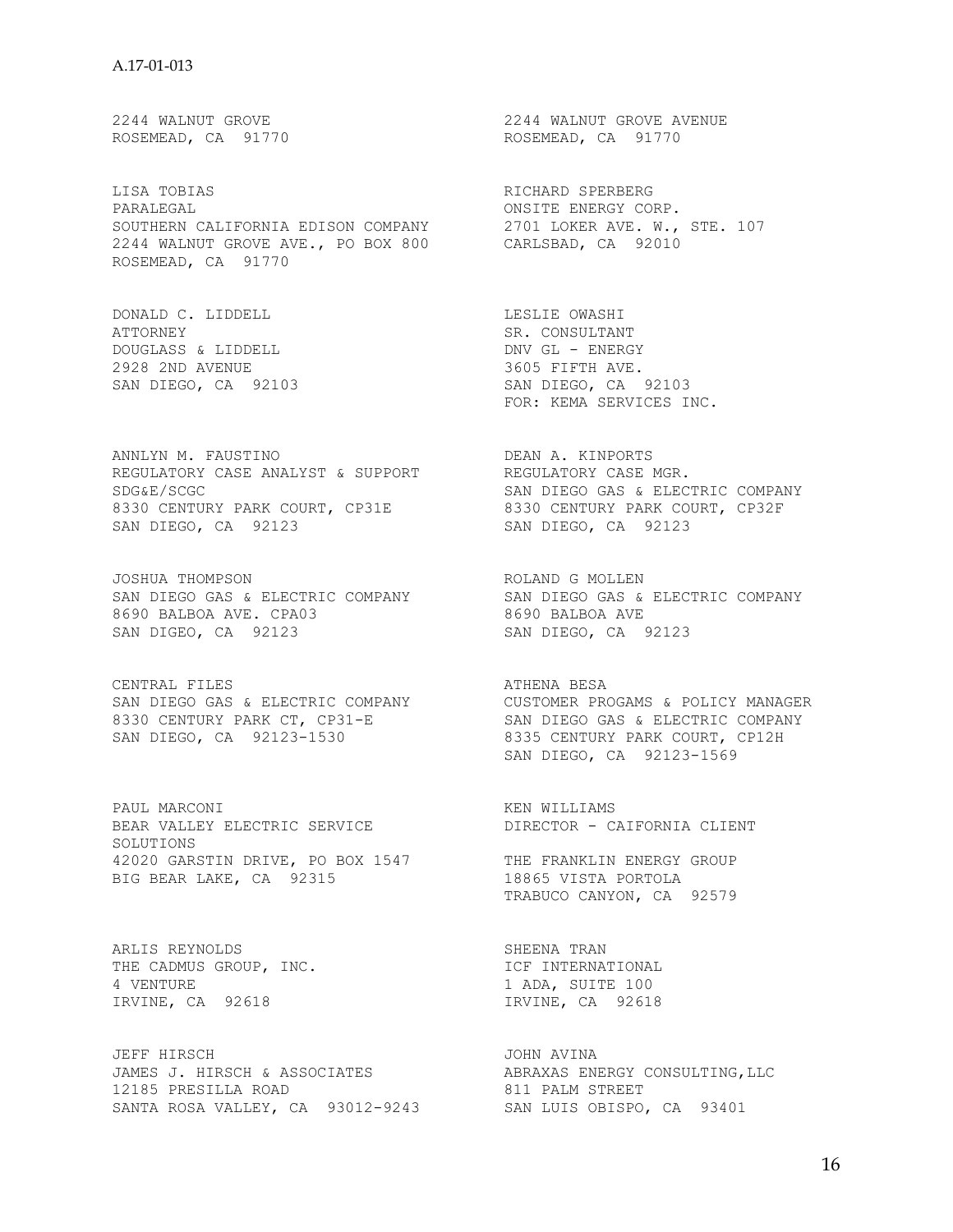LISA TOBIAS RICHARD SPERBERG PARALEGAL **EXERGY** CORP. SOUTHERN CALIFORNIA EDISON COMPANY 2701 LOKER AVE. W., STE. 107 2244 WALNUT GROVE AVE., PO BOX 800 CARLSBAD, CA 92010 ROSEMEAD, CA 91770

DONALD C. LIDDELL **LESLIE OWASHI** ATTORNEY SR. CONSULTANT DOUGLASS & LIDDELL DOUGLASS & LIDDELL 2928 2ND AVENUE 2928 7 200 200 3605 FIFTH AVE.

ANNLYN M. FAUSTINO DEAN A. KINPORTS REGULATORY CASE ANALYST & SUPPORT REGULATORY CASE MGR. SDG&E/SCGC SAN DIEGO GAS & ELECTRIC COMPANY 8330 CENTURY PARK COURT, CP31E 8330 CENTURY PARK COURT, CP32F SAN DIEGO, CA 92123 SAN DIEGO, CA 92123

JOSHUA THOMPSON **ROLAND G MOLLEN** 8690 BALBOA AVE. CPA03 8690 BALBOA AVE SAN DIGEO, CA 92123 SAN DIEGO, CA 92123

CENTRAL FILES **ATHENA BESA** 

PAUL MARCONI **Example 19** and the set of the set of the set of the set of the set of the set of the set of the set of the set of the set of the set of the set of the set of the set of the set of the set of the set of the s BEAR VALLEY ELECTRIC SERVICE DIRECTOR - CAIFORNIA CLIENT SOLUTIONS A A SUBSECTIONS<br>42020 GARSTIN DRIVE, PO BOX 1547 THE FRANKLIN ENERGY GROUP BIG BEAR LAKE, CA 92315 18865 VISTA PORTOLA

ARLIS REYNOLDS SHEENA TRAN THE CADMUS GROUP, INC. THE INTERNATIONAL 4 VENTURE 100 IRVINE, CA 92618 **IRVINE, CA 92618** 

JEFF HIRSCH JOHN AVINA JAMES J. HIRSCH & ASSOCIATES ABRAXAS ENERGY CONSULTING,LLC 12185 PRESILLA ROAD 811 PALM STREET SANTA ROSA VALLEY, CA 93012-9243 SAN LUIS OBISPO, CA 93401

2244 WALNUT GROVE 2244 WALNUT GROVE AVENUE ROSEMEAD, CA 91770 ROSEMEAD, CA 91770

SAN DIEGO, CA 92103 SAN DIEGO, CA 92103 FOR: KEMA SERVICES INC.

SAN DIEGO GAS & ELECTRIC COMPANY SAN DIEGO GAS & ELECTRIC COMPANY

SAN DIEGO GAS & ELECTRIC COMPANY CUSTOMER PROGAMS & POLICY MANAGER 8330 CENTURY PARK CT, CP31-E SAN DIEGO GAS & ELECTRIC COMPANY SAN DIEGO, CA 92123-1530 8335 CENTURY PARK COURT, CP12H SAN DIEGO, CA 92123-1569

TRABUCO CANYON, CA 92579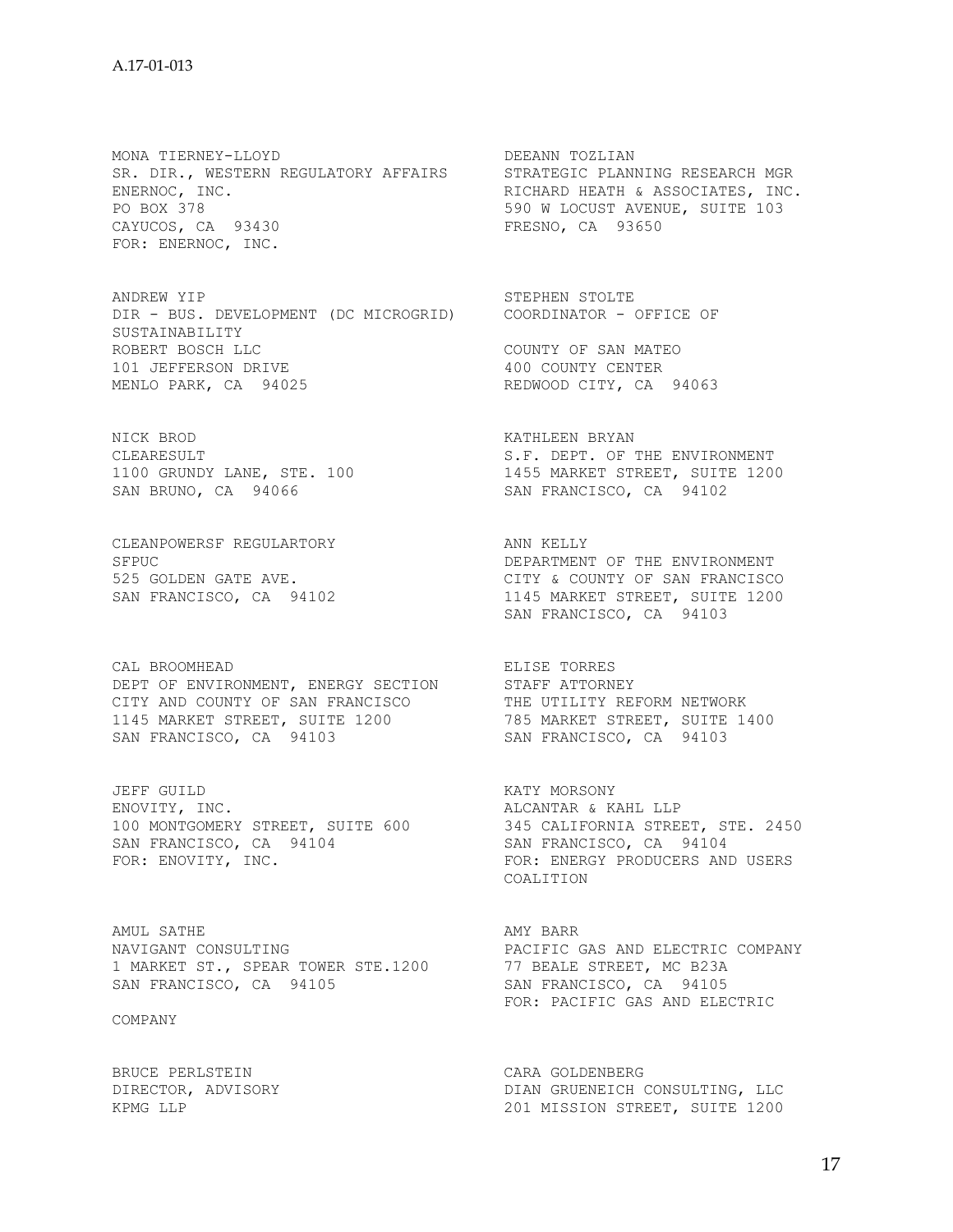MONA TIERNEY-LLOYD DEEANN TOZLIAN SR. DIR., WESTERN REGULATORY AFFAIRS STRATEGIC PLANNING RESEARCH MGR ENERNOC, INC. THE RICHARD HEATH & ASSOCIATES, INC. PO BOX 378 590 W LOCUST AVENUE, SUITE 103 CAYUCOS, CA 93430<br>
CAYUCOS, CA 93430<br>
FRESNO, CA 93650 FOR: ENERNOC, INC.

ANDREW YIP STEPHEN STOLTE DIR - BUS. DEVELOPMENT (DC MICROGRID) COORDINATOR - OFFICE OF SUSTAINABILITY<br>ROBERT BOSCH LLC ROBERT BOSCH LLC **COUNTY OF SAN MATEO** 101 JEFFERSON DRIVE 100 COUNTY CENTER MENLO PARK, CA 94025 REDWOOD CITY, CA 94063

NICK BROD **KATHLEEN BRYAN** 

CLEANPOWERSF REGULARTORY **ANN SELLY** 

CAL BROOMHEAD **ELISE TORRES** DEPT OF ENVIRONMENT, ENERGY SECTION STAFF ATTORNEY CITY AND COUNTY OF SAN FRANCISCO THE UTILITY REFORM NETWORK 1145 MARKET STREET, SUITE 1200 785 MARKET STREET, SUITE 1400 SAN FRANCISCO, CA 94103 SAN FRANCISCO, CA 94103

JEFF GUILD SALLACH CONTROLLER THE MORSONY ENOVITY, INC. THE REAL REAL PROVITY, INC. SAN FRANCISCO, CA 94104 SAN FRANCISCO, CA 94104

AMUL SATHE **AMUL SATHE** NAVIGANT CONSULTING **EXECUTE:** PACIFIC GAS AND ELECTRIC COMPANY 1 MARKET ST., SPEAR TOWER STE.1200 77 BEALE STREET, MC B23A SAN FRANCISCO, CA 94105 SAN FRANCISCO, CA 94105

COMPANY

BRUCE PERLSTEIN CARA GOLDENBERG<br>DIRECTOR, ADVISORY CARA COLDENBERG

CLEARESULT S.F. DEPT. OF THE ENVIRONMENT 1100 GRUNDY LANE, STE. 100 1455 MARKET STREET, SUITE 1200 SAN BRUNO, CA 94066 SAN FRANCISCO, CA 94102

SFPUC SERIES AND THE ENVIRONMENT OF THE ENVIRONMENT 525 GOLDEN GATE AVE. CITY & COUNTY OF SAN FRANCISCO SAN FRANCISCO, CA 94102 1145 MARKET STREET, SUITE 1200 SAN FRANCISCO, CA 94103

100 MONTGOMERY STREET, SUITE 600 345 CALIFORNIA STREET, STE. 2450 FOR: ENOVITY, INC. THE RESERCT FOR: ENERGY PRODUCERS AND USERS COALITION

FOR: PACIFIC GAS AND ELECTRIC

DIRECTOR, ADVISORY **DIAN GRUENEICH CONSULTING, LLC**<br>KPMG LLP 201 MISSION STREET, SUITE 1200 XING CHOCHLISH STREET, SUITE 1200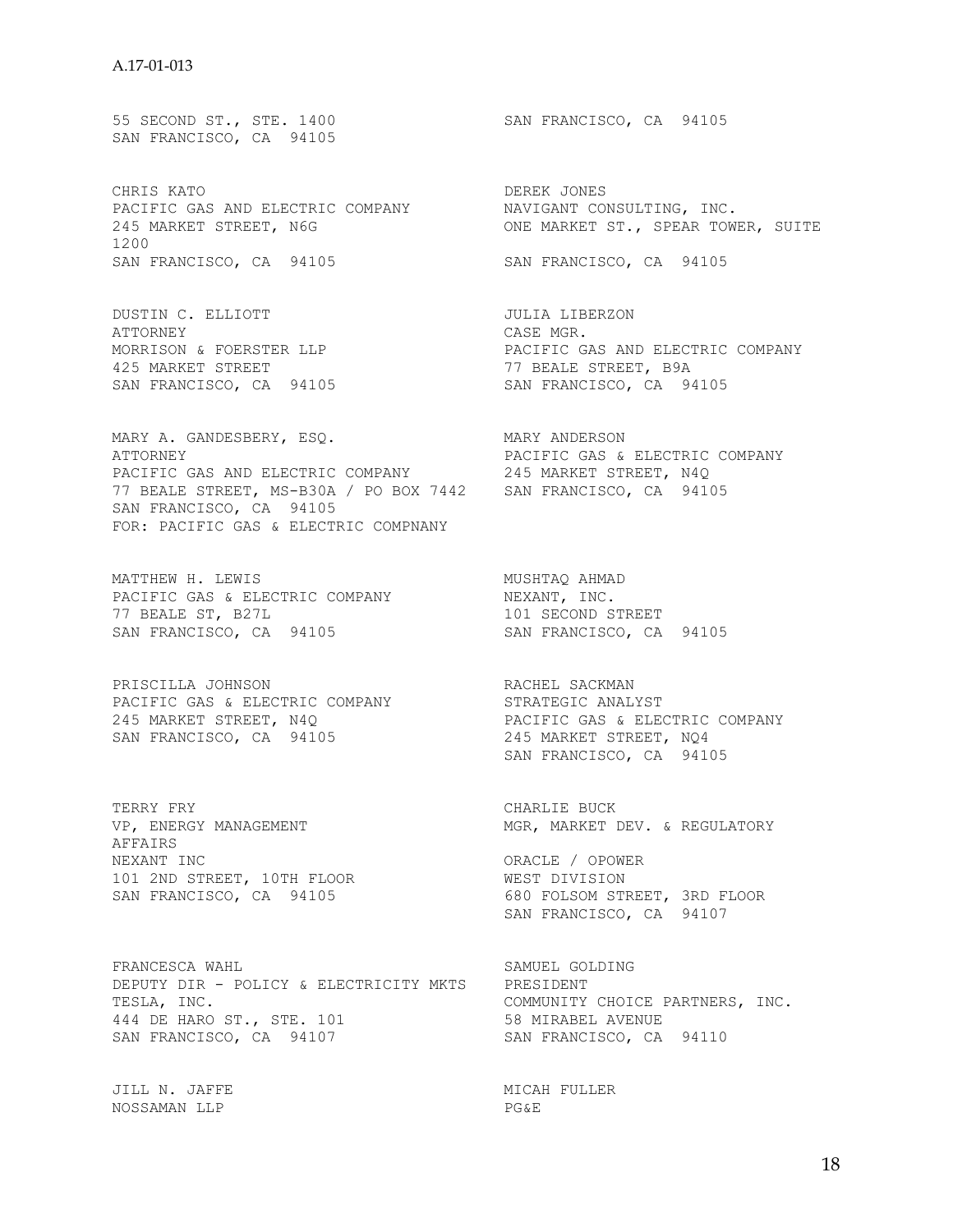55 SECOND ST., STE. 1400 SAN FRANCISCO, CA 94105 SAN FRANCISCO, CA 94105

CHRIS KATO **DEREK JONES** PACIFIC GAS AND ELECTRIC COMPANY NAVIGANT CONSULTING, INC. 245 MARKET STREET, N6G ONE MARKET ST., SPEAR TOWER, SUITE 1200 SAN FRANCISCO, CA 94105 SAN FRANCISCO, CA 94105

DUSTIN C. ELLIOTT JULIA LIBERZON ATTORNEY GASE MOR. 425 MARKET STREET 77 BEALE STREET, B9A

MARY A. GANDESBERY, ESQ. MARY ANDERSON ATTORNEY PACIFIC GAS & ELECTRIC COMPANY PACIFIC GAS AND ELECTRIC COMPANY 245 MARKET STREET, N4Q 77 BEALE STREET, MS-B30A / PO BOX 7442 SAN FRANCISCO, CA 94105 SAN FRANCISCO, CA 94105 FOR: PACIFIC GAS & ELECTRIC COMPNANY

MATTHEW H. LEWIS **MUSHTAQ AHMAD** PACIFIC GAS & ELECTRIC COMPANY NEXANT, INC. 77 BEALE ST, B27L 101 SECOND STREET SAN FRANCISCO, CA 94105 SAN FRANCISCO, CA 94105

PRISCILLA JOHNSON RACHEL SACKMAN PACIFIC GAS & ELECTRIC COMPANY STRATEGIC ANALYST 245 MARKET STREET, N4Q PACIFIC GAS & ELECTRIC COMPANY SAN FRANCISCO, CA 94105 245 MARKET STREET, NQ4

VP, ENERGY MANAGEMENT AFFAIRS NEXANT INC ORACLE / OPOWER 101 2ND STREET, 10TH FLOOR WEST DIVISION

FRANCESCA WAHL SAMUEL GOLDING DEPUTY DIR - POLICY & ELECTRICITY MKTS PRESIDENT 444 DE HARO ST., STE. 101 58 MIRABEL AVENUE SAN FRANCISCO, CA 94107 SAN FRANCISCO, CA 94110

JILL N. JAFFE MICAH FULLER NOSSAMAN LLP PG&E

MORRISON & FOERSTER LLP **EXECUTE:** PACIFIC GAS AND ELECTRIC COMPANY SAN FRANCISCO, CA 94105 SAN FRANCISCO, CA 94105

SAN FRANCISCO, CA 94105

TERRY FRY CHARLIE BUCK

SAN FRANCISCO, CA 94105 680 FOLSOM STREET, 3RD FLOOR SAN FRANCISCO, CA 94107

COMMUNITY CHOICE PARTNERS, INC.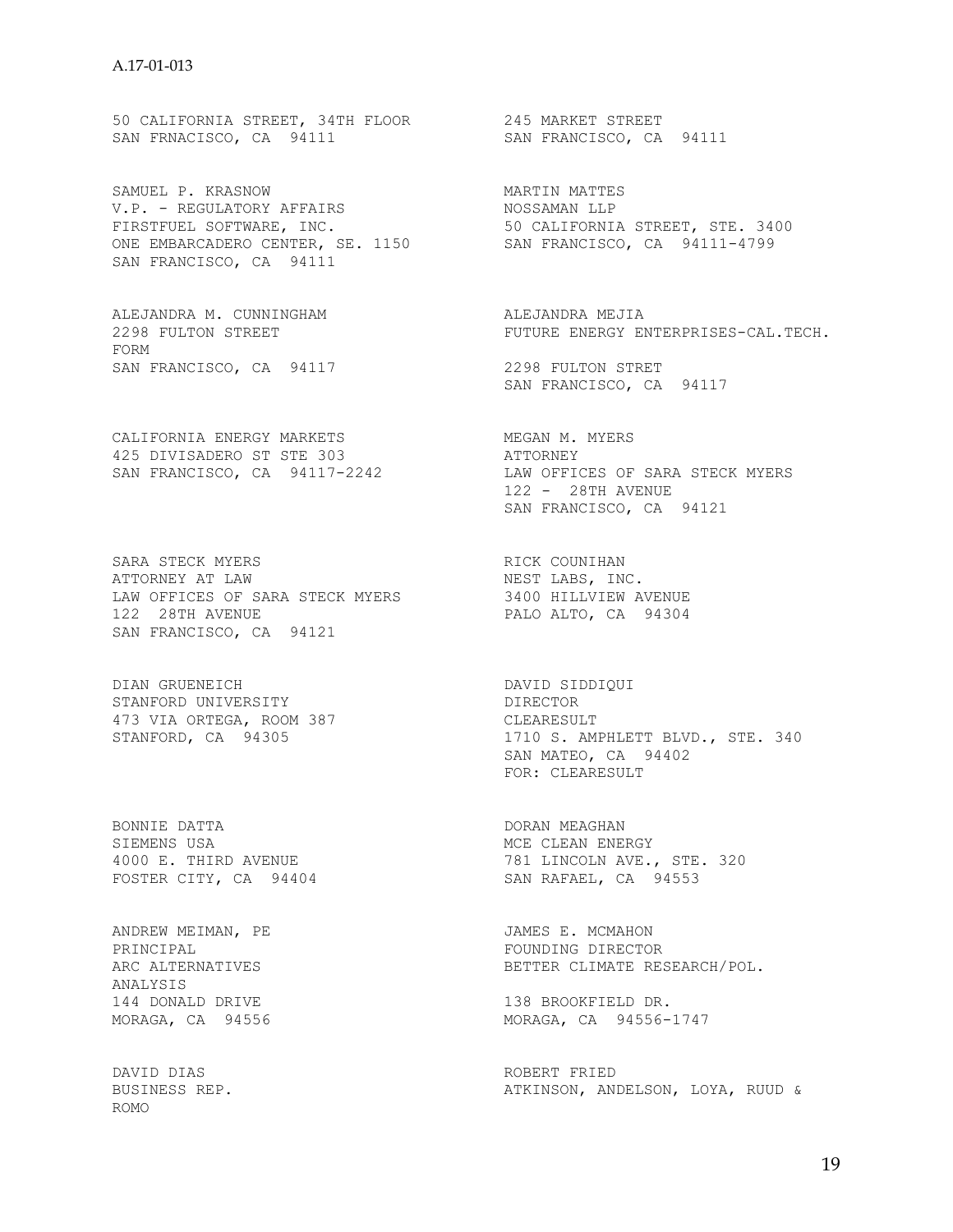50 CALIFORNIA STREET, 34TH FLOOR 245 MARKET STREET SAN FRNACISCO, CA 94111 SAN FRANCISCO, CA 94111

SAMUEL P. KRASNOW **MARTIN MARTIN** V.P. - REGULATORY AFFAIRS NOSSAMAN LLP FIRSTFUEL SOFTWARE, INC. 50 CALIFORNIA STREET, STE. 3400 ONE EMBARCADERO CENTER, SE. 1150 SAN FRANCISCO, CA 94111-4799 SAN FRANCISCO, CA 94111

ALEJANDRA M. CUNNINGHAM ALEJANDRA MEJIA FORM SAN FRANCISCO, CA 94117 2298 FULTON STRET

CALIFORNIA ENERGY MARKETS MEGAN M. MYERS 425 DIVISADERO ST STE 303 ATTORNEY

SARA STECK MYERS SARA STECK MYERS RICK COUNIHAN RICK COUNIHAN ATTORNEY AT LAW **NEST LABS, INC.** LAW OFFICES OF SARA STECK MYERS 3400 HILLVIEW AVENUE 122 28TH AVENUE PALO ALTO, CA 94304 SAN FRANCISCO, CA 94121

DIAN GRUENEICH DAVID SIDDIQUI STANFORD UNIVERSITY DIRECTOR 473 VIA ORTEGA, ROOM 387 CLEARESULT

BONNIE DATTA DORAN MEAGHAN 4000 E. THIRD AVENUE<br>FOSTER CITY. CA 94404 FOSTER CITY, CA 94404 SAN RAFAEL, CA 94553

ANDREW MEIMAN, PE JAMES E. MCMAHON PRINCIPAL FOUNDING DIRECTOR ANALYSIS<br>144 DONALD DRIVE 144 DONALD DRIVE 138 BROOKFIELD DR.<br>MORAGA, CA 94556 120 MORAGA, CA 94556-

DAVID DIAS ROBERT FRIED ROMO

2298 FULTON STREET FUTURE ENERGY ENTERPRISES-CAL.TECH.

SAN FRANCISCO, CA 94117

SAN FRANCISCO, CA 94117-2242 LAW OFFICES OF SARA STECK MYERS 122 - 28TH AVENUE SAN FRANCISCO, CA 94121

473 VIA ORTEGA, ROOM 387<br>
STANFORD, CA 94305<br>
1710 S. AMPHLETT BLVD., STE. 340 SAN MATEO, CA 94402 FOR: CLEARESULT

SIEMENS USA MCE CLEAN ENERGY

BETTER CLIMATE RESEARCH/POL.

MORAGA, CA 94556-1747

ATKINSON, ANDELSON, LOYA, RUUD &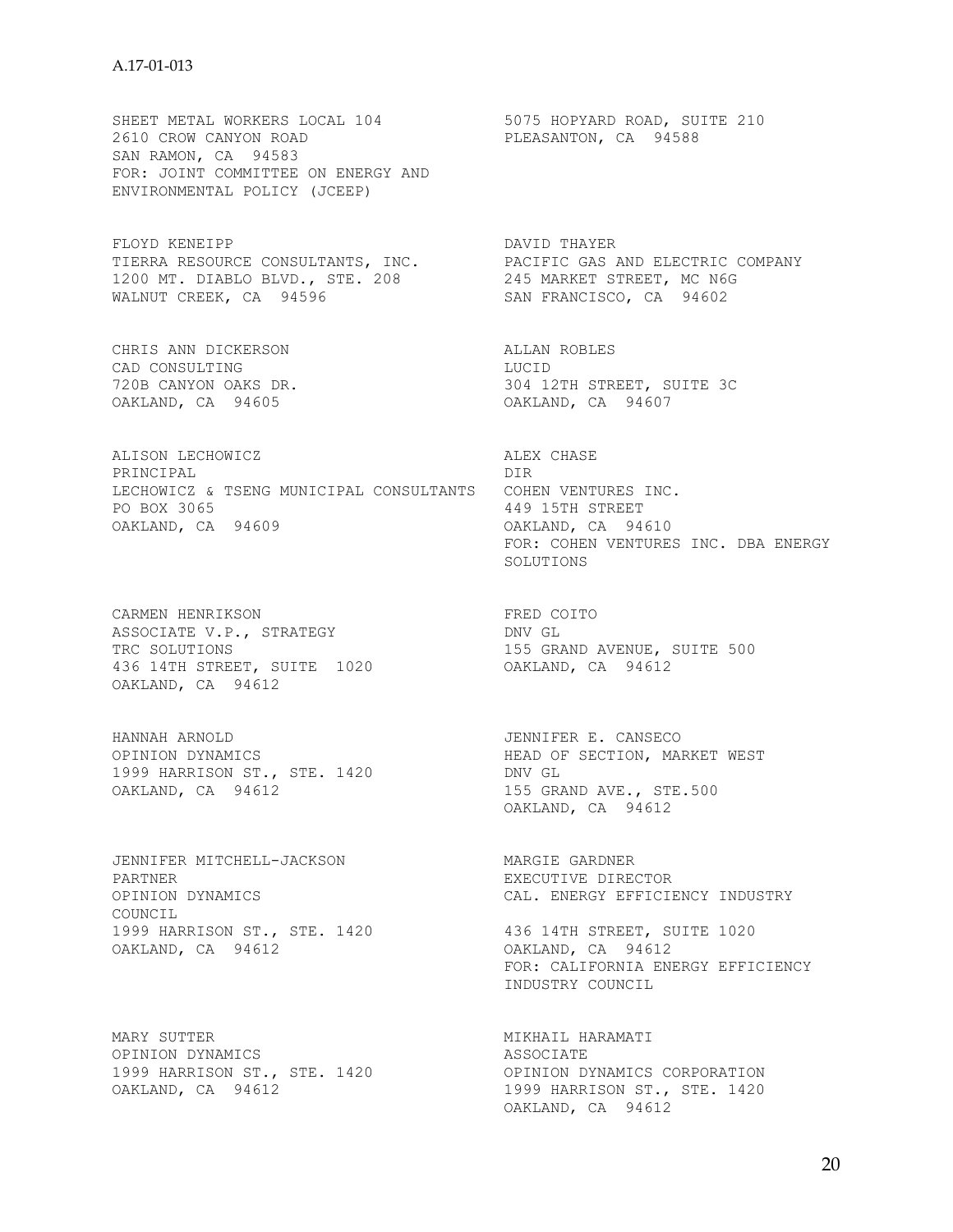#### A.17-01-013

SHEET METAL WORKERS LOCAL 104 5075 HOPYARD ROAD, SUITE 210 2610 CROW CANYON ROAD **PLEASANTON, CA** 94588 SAN RAMON, CA 94583 FOR: JOINT COMMITTEE ON ENERGY AND ENVIRONMENTAL POLICY (JCEEP)

FLOYD KENEIPP **DAVID THAYER** TIERRA RESOURCE CONSULTANTS, INC. PACIFIC GAS AND ELECTRIC COMPANY 1200 MT. DIABLO BLVD., STE. 208 245 MARKET STREET, MC N6G WALNUT CREEK, CA 94596 SAN FRANCISCO, CA 94602

CHRIS ANN DICKERSON **ALLAN ROBLES** CAD CONSULTING LUCID

ALISON LECHOWICZ ALEX CHASE PRINCIPAL DIR LECHOWICZ & TSENG MUNICIPAL CONSULTANTS COHEN VENTURES INC. PO BOX 3065 449 15TH STREET OAKLAND, CA 94609 OAKLAND, CA 94610

CARMEN HENRIKSON **FRED** COITO ASSOCIATE V.P., STRATEGY DNV GL TRC SOLUTIONS 155 GRAND AVENUE, SUITE 500 436 14TH STREET, SUITE 1020 OAKLAND, CA 94612 OAKLAND, CA 94612

HANNAH ARNOLD JENNIFER E. CANSECO 1999 HARRISON ST., STE. 1420 DNV GL  $OAKLAND$ , CA  $94612$  155 GRAND AVE., STE.500

JENNIFER MITCHELL-JACKSON MARGIE GARDNER PARTNER EXECUTIVE DIRECTOR COUNCIL 1999 HARRISON ST., STE. 1420 436 14TH STREET, SUITE 1020 OAKLAND, CA 94612 OAKLAND, CA 94612

MARY SUTTER **MIKHAIL HARAMATI** OPINION DYNAMICS ASSOCIATE 1999 HARRISON ST., STE. 1420 OPINION DYNAMICS CORPORATION

720B CANYON OAKS DR. 304 12TH STREET, SUITE 3C OAKLAND, CA 94605 OAKLAND, CA 94607

> FOR: COHEN VENTURES INC. DBA ENERGY SOLUTIONS

OPINION DYNAMICS<br>
1999 HARRISON ST., STE. 1420<br>
OAKLAND, CA 94612<br>
OAKLAND, CA 94612<br>
OAKLAND, CA 94612 OAKLAND, CA 94612

OPINION DYNAMICS CAL. ENERGY EFFICIENCY INDUSTRY

 FOR: CALIFORNIA ENERGY EFFICIENCY INDUSTRY COUNCIL

OAKLAND, CA 94612 1999 HARRISON ST., STE. 1420 OAKLAND, CA 94612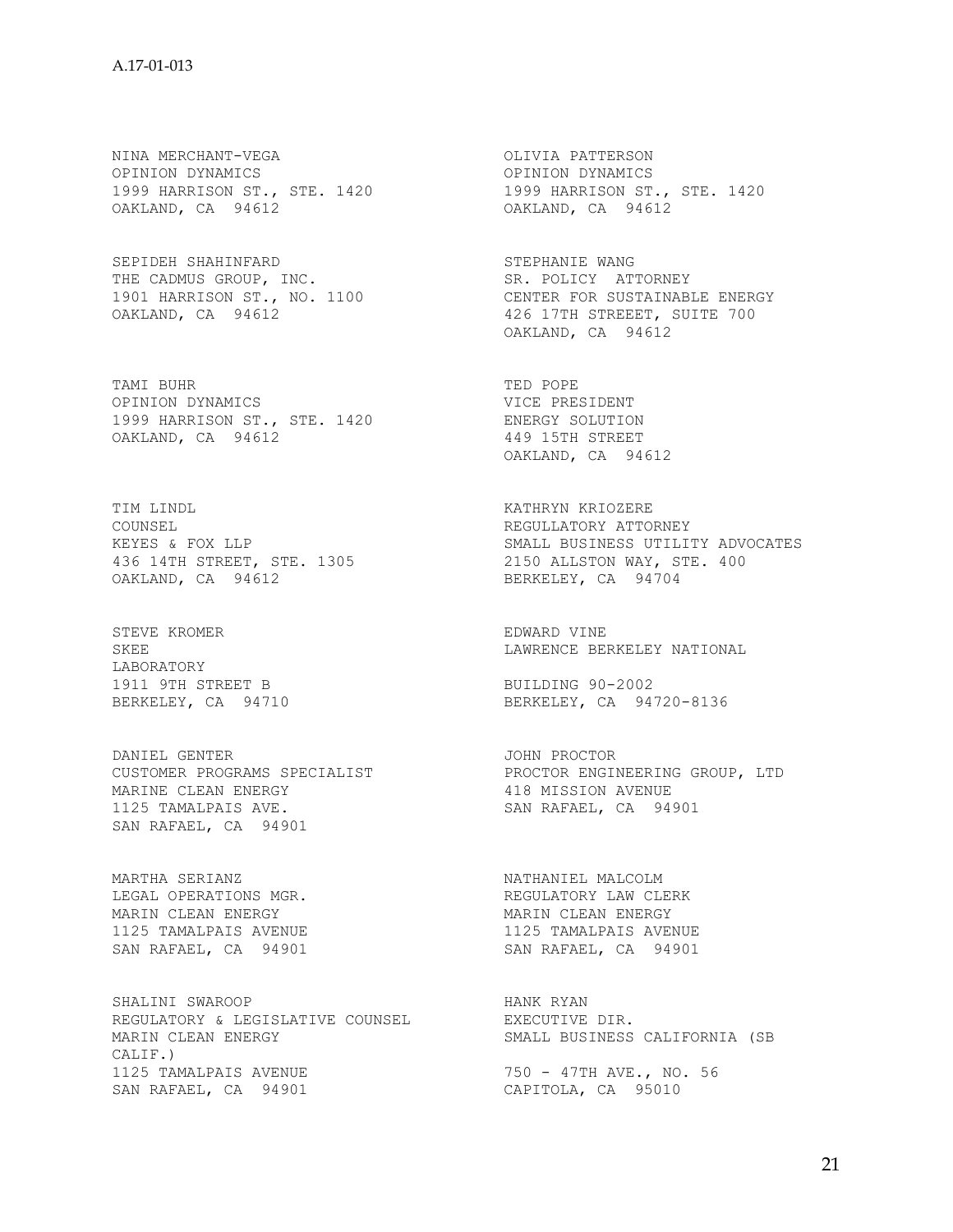NINA MERCHANT-VEGA **OLIVIA PATTERSON** OPINION DYNAMICS OPINION DYNAMICS 1999 HARRISON ST., STE. 1420 1999 HARRISON ST., STE. 1420 OPINION DYNAMICS<br>
OPINION DYNAMICS<br>
1999 HARRISON ST., STE. 1420<br>
OAKLAND, CA 94612<br>
OAKLAND, CA 94612<br>
OAKLAND, CA 94612

SEPIDEH SHAHINFARD STEPHANIE WANG THE CADMUS GROUP, INC. THE CADMUS GROUP, SR. POLICY ATTORNEY

TAMI BUHR TED POPE OPINION DYNAMICS SUMMON SUMMON VICE PRESIDENT 1999 HARRISON ST., STE. 1420 ENERGY SOLUTION OAKLAND, CA 94612 449 15TH STREET

TIM LINDL $$\tt KATHRYN\ KRIOZERE\atop \tt NCULIATORY\ ATTORNEY\atop \tt NCULIATORY\ ATTORNEY}$ COUNSEL **REGULLATORY ATTORNEY** OAKLAND, CA 94612 BERKELEY, CA 94704

STEVE KROMER **EDWARD** VINE LABORATORY<br>1911 9TH STREET B 1911 9TH STREET B BUILDING 90-2002

DANIEL GENTER **GENER SEE EASTER SOME PROCTOR** MARINE CLEAN ENERGY 418 MISSION AVENUE 1125 TAMALPAIS AVE. SAN RAFAEL, CA 94901 SAN RAFAEL, CA 94901

MARTHA SERIANZ **NATHANIEL MALCOLM** LEGAL OPERATIONS MGR. THE REGULATORY LAW CLERK MARIN CLEAN ENERGY **MARIN CLEAN ENERGY** 1125 TAMALPAIS AVENUE 1125 TAMALPAIS AVENUE SAN RAFAEL, CA 94901 SAN RAFAEL, CA 94901

SHALINI SWAROOP HANK RYAN REGULATORY & LEGISLATIVE COUNSEL EXECUTIVE DIR.<br>MARIN CLEAN ENERGY SMALL BUSINESS CALIF.) 1125 TAMALPAIS AVENUE 750 - 47TH AVE., NO. 56 SAN RAFAEL, CA 94901 CAPITOLA, CA 95010

1901 HARRISON ST., NO. 1100 CENTER FOR SUSTAINABLE ENERGY OAKLAND, CA 94612 426 17TH STREEET, SUITE 700 OAKLAND, CA 94612

OAKLAND, CA 94612

KEYES & FOX LLP SMALL BUSINESS UTILITY ADVOCATES 436 14TH STREET, STE. 1305 2150 ALLSTON WAY, STE. 400

SKEE SERKELEY NATIONAL SKEE

BERKELEY, CA 94720-8136

CUSTOMER PROGRAMS SPECIALIST PROCTOR ENGINEERING GROUP, LTD

SMALL BUSINESS CALIFORNIA (SB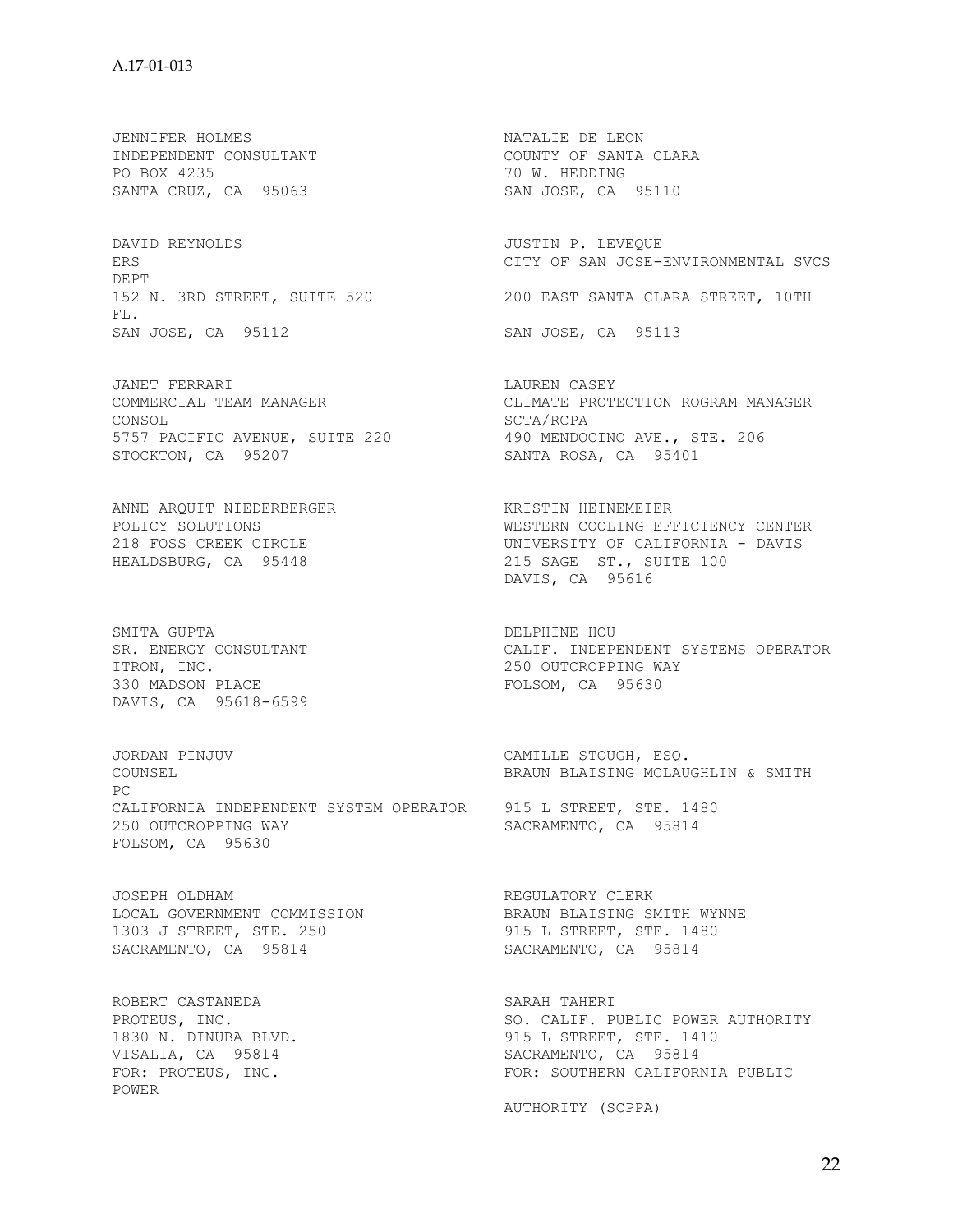JENNIFER HOLMES NATALIE DE LEON INDEPENDENT CONSULTANT COUNTY OF SANTA CLARA PO BOX 4235 70 W. HEDDING SANTA CRUZ, CA 95063 SAN JOSE, CA 95110

DAVID REYNOLDS **DAVID REXEQUE** DEPT FL. SAN JOSE, CA 95112 SAN JOSE, CA 95113

JANET FERRARI **LAUREN CASEY** CONSOL SCTA/RCPA 5757 PACIFIC AVENUE, SUITE 220 490 MENDOCINO AVE., STE. 206 STOCKTON, CA 95207 SANTA ROSA, CA 95401

ANNE ARQUIT NIEDERBERGER KRISTIN HEINEMEIER

SMITA GUPTA DELPHINE HOU ITRON, INC.<br>330 MADSON PLACE CONSIDER TO POLSOM, CA 95630 DAVIS, CA 95618-6599

JORDAN PINJUV CAMILLE STOUGH, ESQ. COUNSEL BRAUN BLAISING MCLAUGHLIN & SMITH PC CALIFORNIA INDEPENDENT SYSTEM OPERATOR 915 L STREET, STE. 1480 250 OUTCROPPING WAY SACRAMENTO, CA 95814 FOLSOM, CA 95630

JOSEPH OLDHAM **REGULATORY** CLERK LOCAL GOVERNMENT COMMISSION BRAUN BLAISING SMITH WYNNE LOCAL GOVERNMENT COMMISSION BRAUN BLAISING SMITH WYNNE<br>1303 J STREET, STE. 250 915 L STREET, STE. 1480 SACRAMENTO, CA 95814 SACRAMENTO, CA 95814

ROBERT CASTANEDA SARAH TAHERI SARAH TAHERI PROTEUS, INC. 1830 N. DINUBA BLVD.<br>VISALIA, CA 95814 POWER

ERS CITY OF SAN JOSE-ENVIRONMENTAL SVCS 152 N. 3RD STREET, SUITE 520 200 EAST SANTA CLARA STREET, 10TH

COMMERCIAL TEAM MANAGER CLIMATE PROTECTION ROGRAM MANAGER

POLICY SOLUTIONS WESTERN COOLING EFFICIENCY CENTER 218 FOSS CREEK CIRCLE UNIVERSITY OF CALIFORNIA - DAVIS HEALDSBURG, CA 95448 215 SAGE ST., SUITE 100 DAVIS, CA 95616

SR. ENERGY CONSULTANT CALIF. INDEPENDENT SYSTEMS OPERATOR ITRON, INC. FOLSOM, CA 95630

SO. CALIF. PUBLIC POWER AUTHORITY<br>915 L STREET, STE. 1410 SACRAMENTO, CA 95814 FOR: PROTEUS, INC. THE RESOLUTION FOR: SOUTHERN CALIFORNIA PUBLIC

AUTHORITY (SCPPA)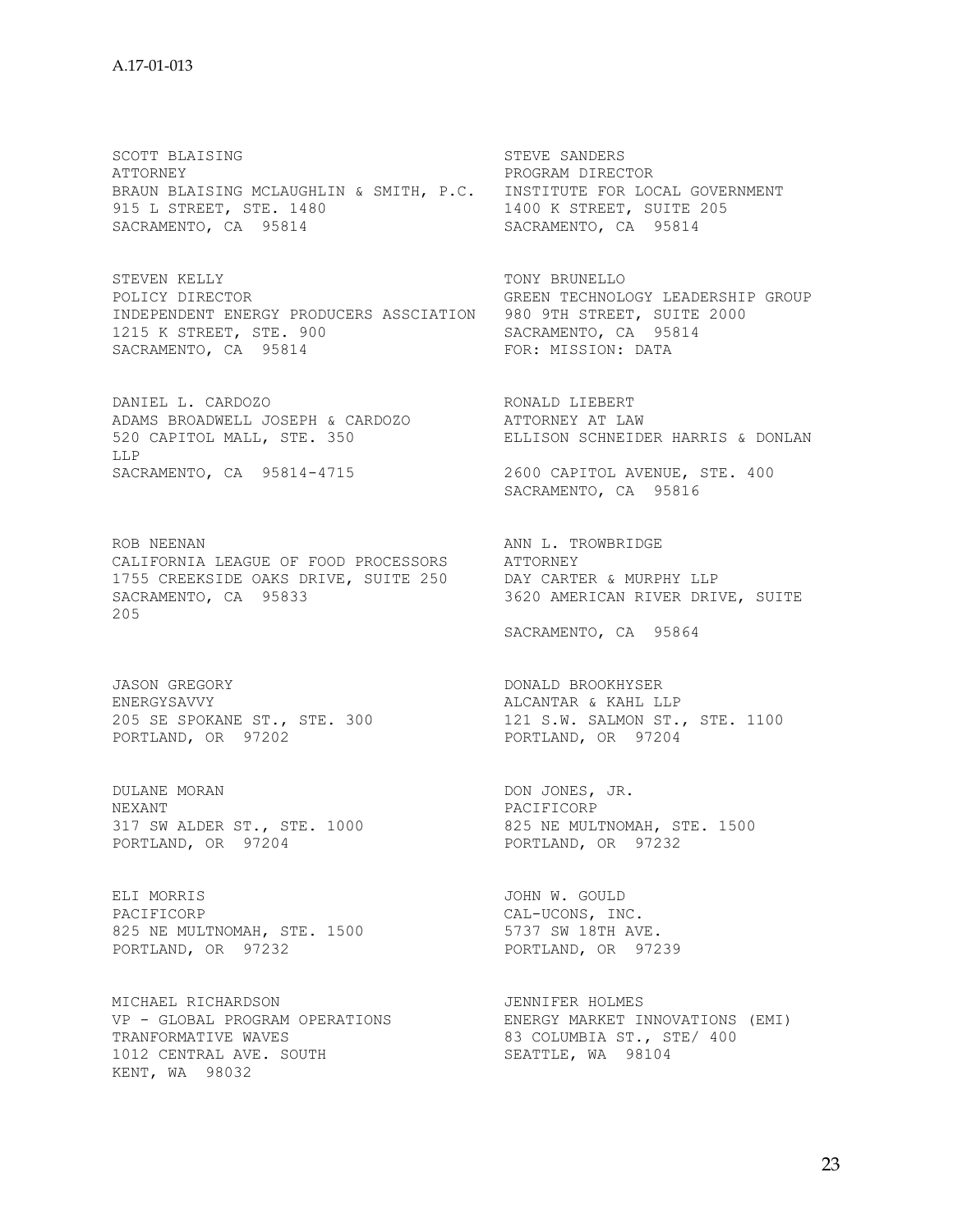SCOTT BLAISING STEVE SANDERS ATTORNEY PROGRAM DIRECTOR BRAUN BLAISING MCLAUGHLIN & SMITH, P.C. INSTITUTE FOR LOCAL GOVERNMENT<br>915 L STREET, STE. 1480 1400 K STREET, SUITE 205 915 L STREET, STE. 1480 SACRAMENTO, CA 95814 SACRAMENTO, CA 95814

STEVEN KELLY **TONY BRUNELLO** POLICY DIRECTOR GREEN TECHNOLOGY LEADERSHIP GROUP INDEPENDENT ENERGY PRODUCERS ASSCIATION 980 9TH STREET, SUITE 2000 1215 K STREET, STE. 900 SACRAMENTO, CA 95814<br>
SACRAMENTO, CA 95814 SACRAMENTO, DATA SACRAMENTO, CA 95814

DANIEL L. CARDOZO **RONALD LIEBERT** ADAMS BROADWELL JOSEPH & CARDOZO ATTORNEY AT LAW 520 CAPITOL MALL, STE. 350 ELLISON SCHNEIDER HARRIS & DONLAN LLP SACRAMENTO, CA 95814-4715 2600 CAPITOL AVENUE, STE. 400

ROB NEENAN ANN L. TROWBRIDGE CALIFORNIA LEAGUE OF FOOD PROCESSORS ATTORNEY 1755 CREEKSIDE OAKS DRIVE, SUITE 250 DAY CARTER & MURPHY LLP SACRAMENTO, CA 95833 3620 AMERICAN RIVER DRIVE, SUITE 205

JASON GREGORY DONALD BROOKHYSER ENERGYSAVVY ALCANTAR & KAHL LLP PORTLAND, OR 97202 PORTLAND, OR 97204

DULANE MORAN DON JONES, JR. NEXANT PACIFICORP NEXANT PACIFICORP 317 SW ALDER ST., STE. 1000 825 NE MULTNOMAH, STE. 1500 PORTLAND, OR 97204 PORTLAND, OR 97232

ELI MORRIS JOHN W. GOULD PACIFICORP CAL-UCONS, INC. 825 NE MULTNOMAH, STE. 1500 5737 SW 18TH AVE. PORTLAND, OR 97232 PORTLAND, OR 97239

MICHAEL RICHARDSON JENNIFER HOLMES TRANFORMATIVE WAVES 83 COLUMBIA ST., STE/ 400 1012 CENTRAL AVE. SOUTH SEATTLE, WA 98104 KENT, WA 98032

SACRAMENTO, CA 95816

SACRAMENTO, CA 95864

205 SE SPOKANE ST., STE. 300 121 S.W. SALMON ST., STE. 1100

VP - GLOBAL PROGRAM OPERATIONS ENERGY MARKET INNOVATIONS (EMI)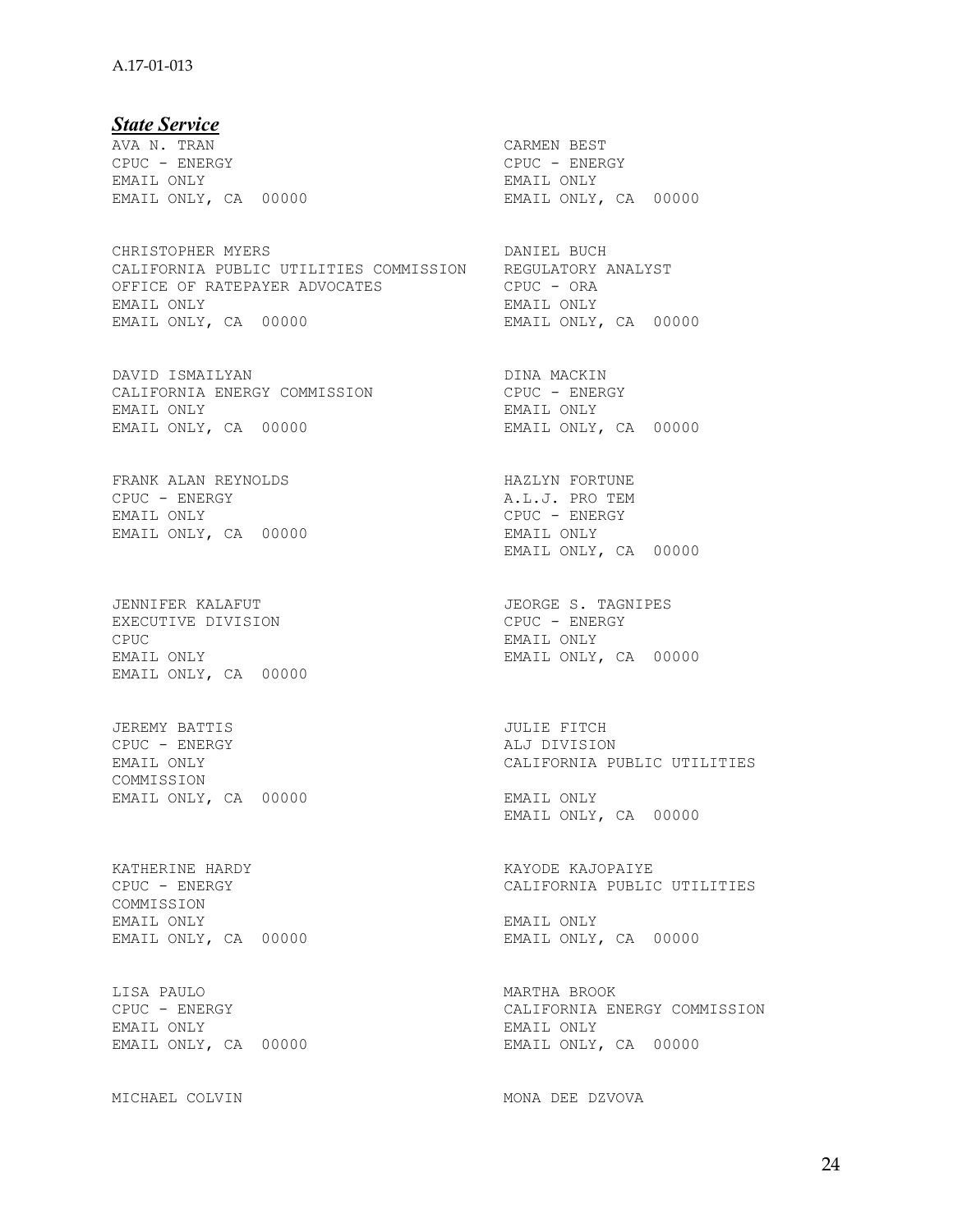### A.17-01-013

*State Service*  AVA N. TRAN CARMEN BEST CPUC - ENERGY CPUC - ENERGY EMAIL ONLY, CA 00000 EMAIL ONLY, CA 00000

CHRISTOPHER MYERS **DANIEL BUCH** CALIFORNIA PUBLIC UTILITIES COMMISSION REGULATORY ANALYST OFFICE OF RATEPAYER ADVOCATES CPUC - ORA EMAIL ONLY EMAIL ONLY EMAIL ONLY, CA 00000 EMAIL ONLY, CA 00000

DAVID ISMAILYAN DAVID DINA MACKIN CALIFORNIA ENERGY COMMISSION CPUC - ENERGY EMAIL ONLY EMAIL ONLY EMAIL ONLY, CA 00000 EMAIL ONLY, CA 00000

FRANK ALAN REYNOLDS FRANK ALAN REYNOLDS FORTUNE CPUC - ENERGY CPUC - ENERGY A.L.J. PRO TEM EMAIL ONLY, CA 00000 EMAIL ONLY

EXECUTIVE DIVISION CPUC - ENERGY CPUC EMAIL ONLY EMAIL ONLY, CA 00000

JEREMY BATTIS JULIE FITCH CPUC - ENERGY<br>EMAIL ONLY COMMISSION EMAIL ONLY, CA 00000 EMAIL ONLY

KATHERINE HARDY KAYODE KAJOPAIYE COMMISSION EMAIL ONLY EMAIL ONLY EMAIL ONLY, CA 00000 EMAIL ONLY, CA 00000

LISA PAULO MARTHA BROOK CPUC - ENERGY COMMISSION CALIFORNIA ENERGY COMMISSION EMAIL ONLY EMAIL ONLY CA 00000 EMAIL ONLY EMAIL ONLY EMAIL ONLY

EMAIL ONLY<br>EMAIL ONLY, CA 00000 CPUC - ENERGY<br>EMAIL ONLY EMAIL ONLY, CA 00000 JENNIFER KALAFUT JEORGE S. TAGNIPES EMAIL ONLY, CA 00000 CALIFORNIA PUBLIC UTILITIES EMAIL ONLY, CA 00000 CALIFORNIA PUBLIC UTILITIES

MICHAEL COLVIN MONA DEE DZVOVA

EMAIL ONLY, CA 00000 EMAIL ONLY, CA 00000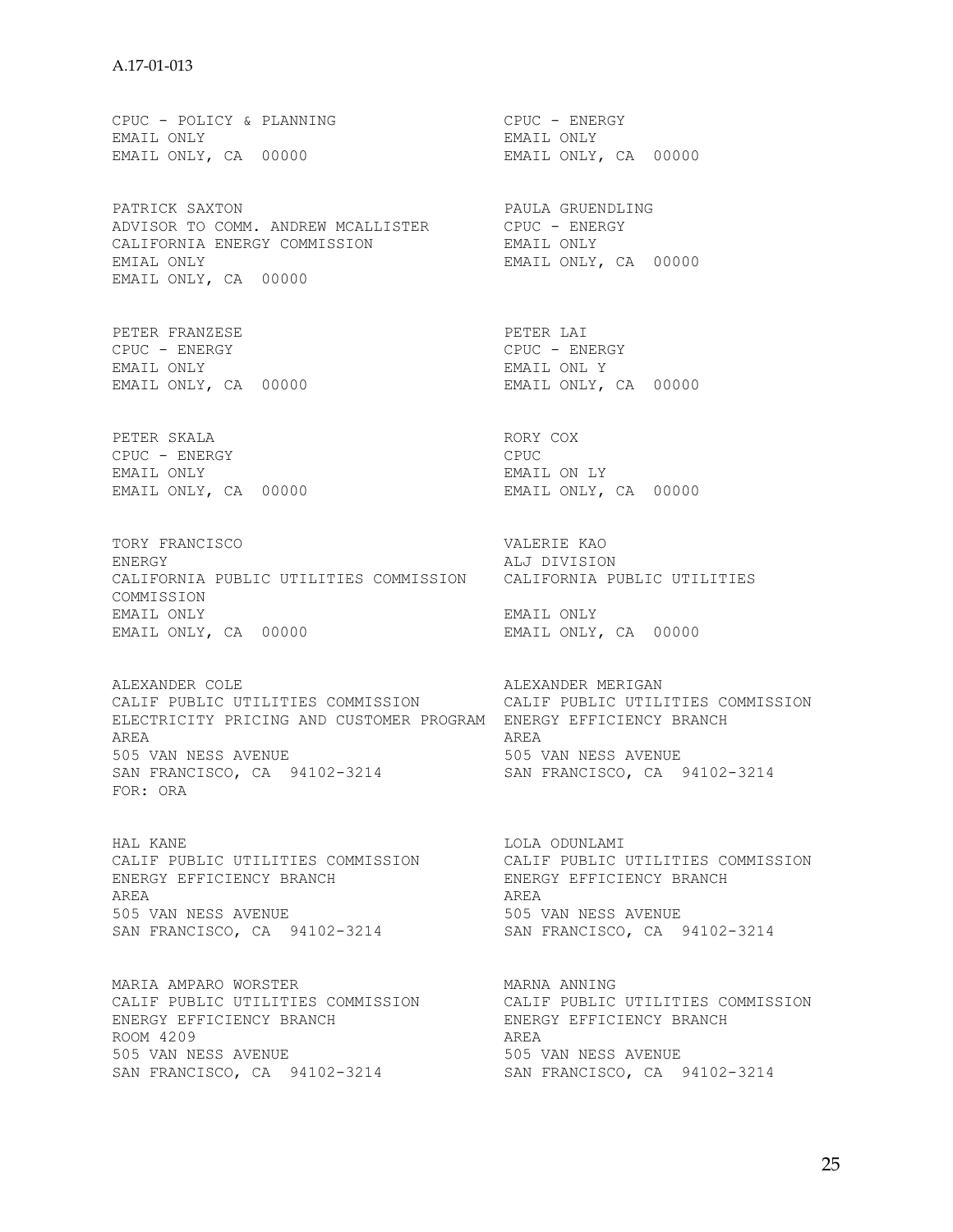CPUC - POLICY & PLANNING CPUC - ENERGY EMAIL ONLY<br>EMAIL ONLY, CA 00000 EMAIL ONLY, CA 00000 EMAIL ONLY, CA 00000 PATRICK SAXTON **PATRICK SAXTON** ADVISOR TO COMM. ANDREW MCALLISTER CPUC - ENERGY<br>CALIFORNIA ENERGY COMMISSION BMAIL ONLY CALIFORNIA ENERGY COMMISSION EMIAL ONLY EMAIL ONLY, CA 00000 EMAIL ONLY, CA 00000 PETER FRANZESE PETER LAI PETER LAI PETER LAI PETER LAI PETER LAI PETER LAI PETER PENE CPUC - ENERGY CPUC - ENERGY EMAIL ONL Y<br>EMAIL ONLY, CA 00000 EMAIL ONLY, CA 00000 EMAIL ONLY, CA 00000 PETER SKALA RORY COX CPUC - ENERGY CPUC EMAIL ONLY EMAIL ON LY EMAIL ONLY, CA 00000 EMAIL ONLY, CA 00000 TORY FRANCISCO VALERIE KAO ENERGY ALJ DIVISION CALIFORNIA PUBLIC UTILITIES COMMISSION CALIFORNIA PUBLIC UTILITIES COMMISSION EMAIL ONLY EMAIL ONLY EMAIL ONLY, CA 00000 EMAIL ONLY, CA 00000 ALEXANDER COLE **ALEXANDER MERIGAN** CALIF PUBLIC UTILITIES COMMISSION CALIF PUBLIC UTILITIES COMMISSION ELECTRICITY PRICING AND CUSTOMER PROGRAM ENERGY EFFICIENCY BRANCH AREA AREA 505 VAN NESS AVENUE 505 VAN NESS AVENUE SAN FRANCISCO, CA 94102-3214 SAN FRANCISCO, CA 94102-3214 FOR: ORA HAL KANE LOLA ODUNLAMI CALIF PUBLIC UTILITIES COMMISSION CALIF PUBLIC UTILITIES COMMISSION ENERGY EFFICIENCY BRANCH ENERGY EFFICIENCY BRANCH AREA AREA AREA 505 VAN NESS AVENUE 505 VAN NESS AVENUE SAN FRANCISCO, CA 94102-3214 SAN FRANCISCO, CA 94102-3214 MARIA AMPARO WORSTER<br>
CALIF PUBLIC UTILITIES COMMISSION CALIF PUBLIC UTILITIES COMMISSION CALIF PUBLIC UTILITIES COMMISSION CALIF PUBLIC UTILITIES COMMISSION<br>ENERGY EFFICIENCY BRANCH ENERGY EFFICIENCY BRANCH ENERGY EFFICIENCY BRANCH ENERGY ENERGY EFFICIENCY BRANCH ROOM 4209 505 VAN NESS AVENUE 505 VAN NESS AVENUE SAN FRANCISCO, CA 94102-3214 SAN FRANCISCO, CA 94102-3214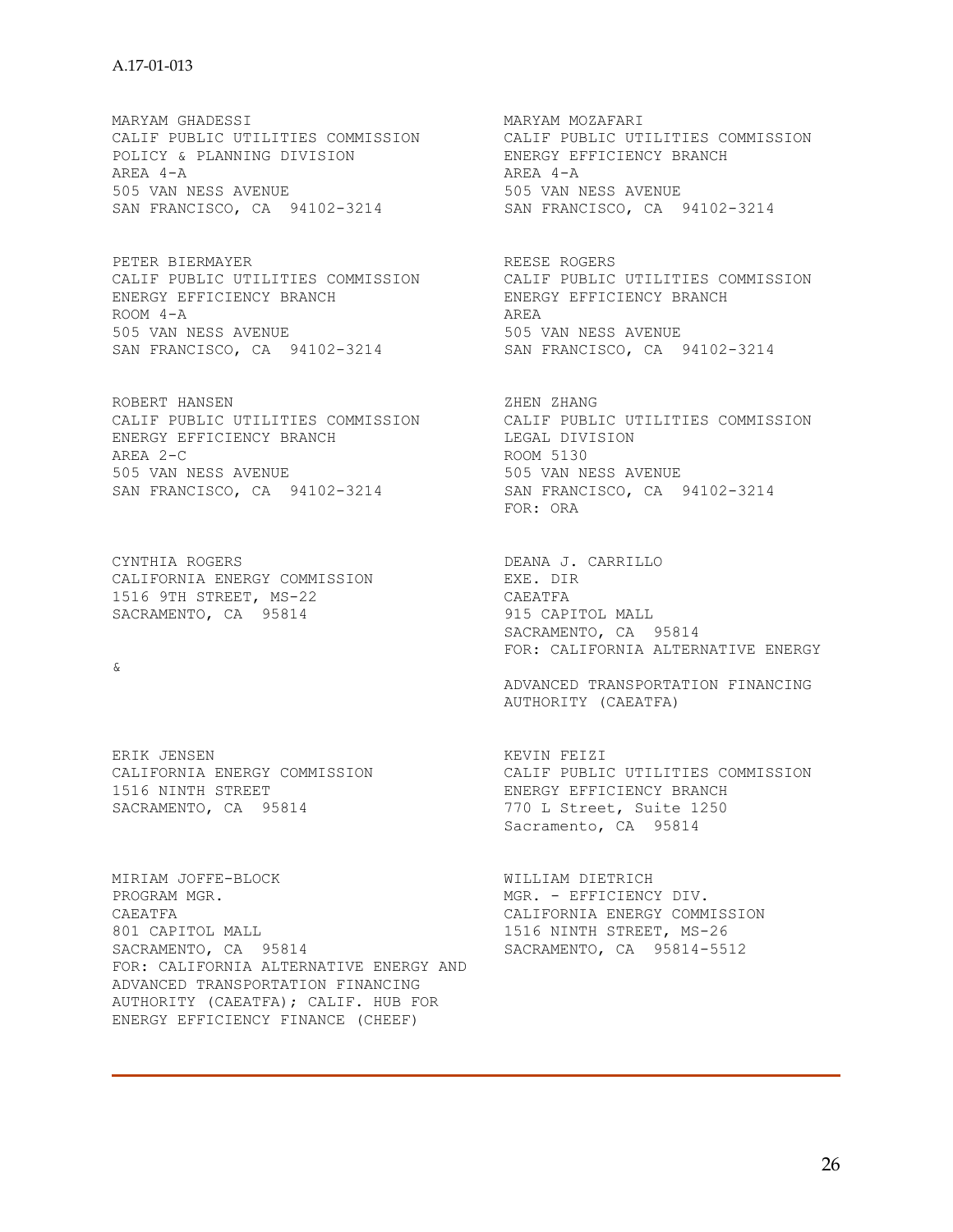MARYAM GHADESSI MARYAM MOZAFARI POLICY & PLANNING DIVISION ENERGY EFFICIENCY BRANCH AREA 4-A AREA 4-A 505 VAN NESS AVENUE 505 VAN NESS AVENUE SAN FRANCISCO, CA 94102-3214 SAN FRANCISCO, CA 94102-3214

CALIF PUBLIC UTILITIES COMMISSION CALIF PUBLIC UTILITIES COMMISSION<br>ENERGY EFFICIENCY BRANCH ENERGY EFFICIENCY BRANCH ENERGY EFFICIENCY BRANCH ENERGY ENERGY EFFICIENCY BRANCH  $ROOM 4-A$ 505 VAN NESS AVENUE<br>
505 VAN NESS AVENUE<br>
505 VAN NESS AVENUE<br>
505 VAN NESS AVENUE SAN FRANCISCO, CA 94102-3214

ROBERT HANSEN ZHEN ZHANG CALIF PUBLIC UTILITIES COMMISSION CALIF PUBLIC UTILITIES COMMISSION ENERGY EFFICIENCY BRANCH LEGAL DIVISION AREA 2-C ROOM 5130 505 VAN NESS AVENUE<br>
SAN FRANCISCO, CA 94102-3214<br>
SAN FRANCISCO, CA 94102-3214 SAN FRANCISCO, CA 94102-3214

CYNTHIA ROGERS DEANA J. CARRILLO CALIFORNIA ENERGY COMMISSION EXE. DIR 1516 9TH STREET, MS-22 CAEATFA SACRAMENTO, CA 95814 915 CAPITOL MALL

&

CALIFORNIA ENERGY COMMISSION 1516 NINTH STREET<br>
SACRAMENTO, CA 95814 1770 L Street, Suite 1250

MIRIAM JOFFE-BLOCK WILLIAM DIETRICH PROGRAM MGR. MGR. - EFFICIENCY DIV. 801 CAPITOL MALL 1516 NINTH STREET, MS-26 SACRAMENTO, CA 95814 SACRAMENTO, CA 95814-5512 FOR: CALIFORNIA ALTERNATIVE ENERGY AND ADVANCED TRANSPORTATION FINANCING AUTHORITY (CAEATFA); CALIF. HUB FOR ENERGY EFFICIENCY FINANCE (CHEEF)

CALIF PUBLIC UTILITIES COMMISSION CALIF PUBLIC UTILITIES COMMISSION

PETER BIERMAYER<br>
CALIF PUBLIC UTILITIES COMMISSION CALIF PUBLIC UTILITIES COMMISSION

FOR: ORA

 SACRAMENTO, CA 95814 FOR: CALIFORNIA ALTERNATIVE ENERGY

ADVANCED TRANSPORTATION FINANCING AUTHORITY (CAEATFA)

ERIK JENSEN<br>CALIFORNIA ENERGY COMMISSION THE SALLE PUBLIC UTILITIES COMMISSION 770 L Street, Suite 1250 Sacramento, CA 95814

CALIFORNIA ENERGY COMMISSION